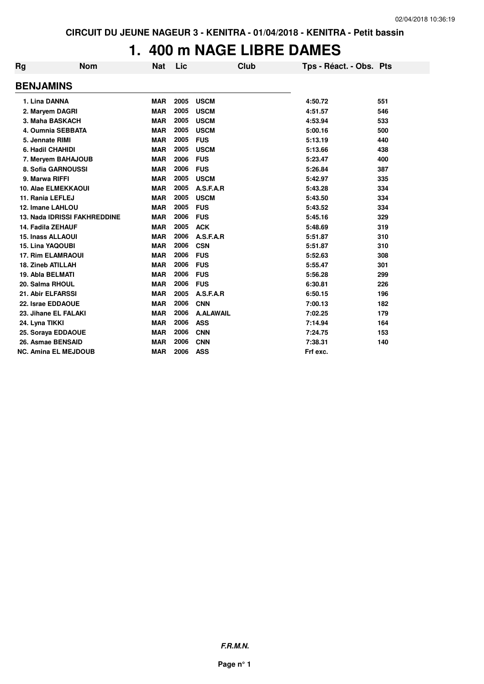## **1. 400 m NAGE LIBRE DAMES**

| Rg | <b>Nom</b>                          | <b>Nat</b> | Lic  | Club             | Tps - Réact. - Obs. Pts |     |
|----|-------------------------------------|------------|------|------------------|-------------------------|-----|
|    | <b>BENJAMINS</b>                    |            |      |                  |                         |     |
|    | 1. Lina DANNA                       | <b>MAR</b> | 2005 | <b>USCM</b>      | 4:50.72                 | 551 |
|    | 2. Maryem DAGRI                     | <b>MAR</b> | 2005 | <b>USCM</b>      | 4:51.57                 | 546 |
|    | 3. Maha BASKACH                     | <b>MAR</b> | 2005 | <b>USCM</b>      | 4:53.94                 | 533 |
|    | 4. Oumnia SEBBATA                   | <b>MAR</b> | 2005 | <b>USCM</b>      | 5:00.16                 | 500 |
|    | 5. Jennate RIMI                     | <b>MAR</b> | 2005 | <b>FUS</b>       | 5:13.19                 | 440 |
|    | 6. Hadil CHAHIDI                    | <b>MAR</b> | 2005 | <b>USCM</b>      | 5:13.66                 | 438 |
|    | 7. Meryem BAHAJOUB                  | <b>MAR</b> | 2006 | <b>FUS</b>       | 5:23.47                 | 400 |
|    | 8. Sofia GARNOUSSI                  | <b>MAR</b> | 2006 | <b>FUS</b>       | 5:26.84                 | 387 |
|    | 9. Marwa RIFFI                      | <b>MAR</b> | 2005 | <b>USCM</b>      | 5:42.97                 | 335 |
|    | <b>10. Alae ELMEKKAOUI</b>          | <b>MAR</b> | 2005 | A.S.F.A.R        | 5:43.28                 | 334 |
|    | 11. Rania LEFLEJ                    | <b>MAR</b> | 2005 | <b>USCM</b>      | 5:43.50                 | 334 |
|    | 12. Imane LAHLOU                    | <b>MAR</b> | 2005 | <b>FUS</b>       | 5:43.52                 | 334 |
|    | <b>13. Nada IDRISSI FAKHREDDINE</b> | <b>MAR</b> | 2006 | <b>FUS</b>       | 5:45.16                 | 329 |
|    | 14. Fadila ZEHAUF                   | <b>MAR</b> | 2005 | <b>ACK</b>       | 5:48.69                 | 319 |
|    | <b>15. Inass ALLAOUI</b>            | <b>MAR</b> | 2006 | A.S.F.A.R        | 5:51.87                 | 310 |
|    | <b>15. Lina YAQOUBI</b>             | <b>MAR</b> | 2006 | <b>CSN</b>       | 5:51.87                 | 310 |
|    | <b>17. Rim ELAMRAOUI</b>            | <b>MAR</b> | 2006 | <b>FUS</b>       | 5:52.63                 | 308 |
|    | <b>18. Zineb ATILLAH</b>            | <b>MAR</b> | 2006 | <b>FUS</b>       | 5:55.47                 | 301 |
|    | 19. Abla BELMATI                    | <b>MAR</b> | 2006 | <b>FUS</b>       | 5:56.28                 | 299 |
|    | 20. Salma RHOUL                     | <b>MAR</b> | 2006 | <b>FUS</b>       | 6:30.81                 | 226 |
|    | 21. Abir ELFARSSI                   | <b>MAR</b> | 2005 | A.S.F.A.R        | 6:50.15                 | 196 |
|    | 22. Israe EDDAOUE                   | <b>MAR</b> | 2006 | <b>CNN</b>       | 7:00.13                 | 182 |
|    | 23. Jihane EL FALAKI                | <b>MAR</b> | 2006 | <b>A.ALAWAIL</b> | 7:02.25                 | 179 |
|    | 24. Lyna TIKKI                      | <b>MAR</b> | 2006 | <b>ASS</b>       | 7:14.94                 | 164 |
|    | 25. Soraya EDDAOUE                  | <b>MAR</b> | 2006 | <b>CNN</b>       | 7:24.75                 | 153 |
|    | 26. Asmae BENSAID                   | <b>MAR</b> | 2006 | <b>CNN</b>       | 7:38.31                 | 140 |
|    | <b>NC. Amina EL MEJDOUB</b>         | <b>MAR</b> | 2006 | <b>ASS</b>       | Frf exc.                |     |
|    |                                     |            |      |                  |                         |     |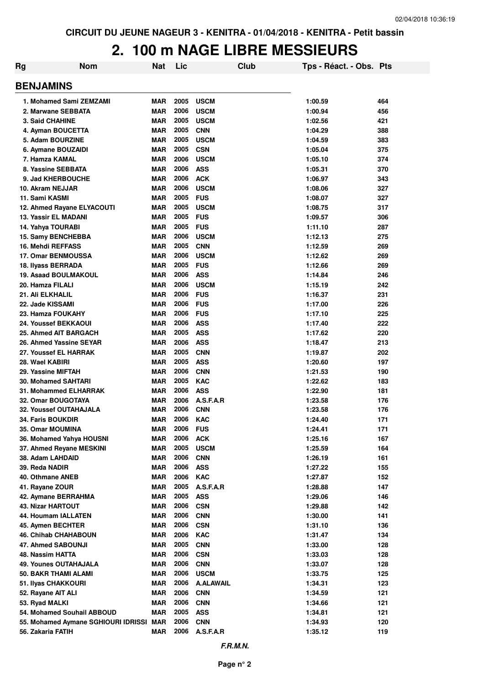### **2. 100 m NAGE LIBRE MESSIEURS**

| Rg                                               | <b>Nom</b>                              | <b>Nat</b>               | Lic          |                           | <b>Club</b> | Tps - Réact. - Obs. Pts |            |
|--------------------------------------------------|-----------------------------------------|--------------------------|--------------|---------------------------|-------------|-------------------------|------------|
| <b>BENJAMINS</b>                                 |                                         |                          |              |                           |             |                         |            |
| 1. Mohamed Sami ZEMZAMI                          |                                         | <b>MAR</b>               | 2005         | <b>USCM</b>               |             | 1:00.59                 | 464        |
| 2. Marwane SEBBATA                               |                                         | <b>MAR</b>               | 2006         | <b>USCM</b>               |             | 1:00.94                 | 456        |
| 3. Said CHAHINE                                  |                                         | <b>MAR</b>               | 2005         | <b>USCM</b>               |             | 1:02.56                 | 421        |
| 4. Ayman BOUCETTA                                |                                         | <b>MAR</b>               | 2005         | <b>CNN</b>                |             | 1:04.29                 | 388        |
| 5. Adam BOURZINE                                 |                                         | <b>MAR</b>               | 2005         | <b>USCM</b>               |             | 1:04.59                 | 383        |
| 6. Aymane BOUZAIDI                               |                                         | <b>MAR</b>               | 2005         | <b>CSN</b>                |             | 1:05.04                 | 375        |
| 7. Hamza KAMAL                                   |                                         | <b>MAR</b>               | 2006         | <b>USCM</b>               |             | 1:05.10                 | 374        |
| 8. Yassine SEBBATA                               |                                         | <b>MAR</b>               | 2006         | <b>ASS</b>                |             | 1:05.31                 | 370        |
| 9. Jad KHERBOUCHE                                |                                         | <b>MAR</b>               | 2006         | <b>ACK</b>                |             | 1:06.97                 | 343        |
| 10. Akram NEJJAR                                 |                                         | <b>MAR</b>               | 2006         | <b>USCM</b>               |             | 1:08.06                 | 327        |
| 11. Sami KASMI                                   |                                         | <b>MAR</b>               | 2005         | <b>FUS</b>                |             | 1:08.07                 | 327        |
| 12. Ahmed Rayane ELYACOUTI                       |                                         | <b>MAR</b>               | 2005         | <b>USCM</b>               |             | 1:08.75                 | 317        |
| <b>13. Yassir EL MADANI</b>                      |                                         | <b>MAR</b>               | 2005         | <b>FUS</b>                |             | 1:09.57                 | 306        |
| 14. Yahya TOURABI                                |                                         | <b>MAR</b>               | 2005         | <b>FUS</b>                |             | 1:11.10                 | 287        |
| 15. Samy BENCHEBBA                               |                                         | <b>MAR</b>               | 2006         | <b>USCM</b>               |             | 1:12.13                 | 275        |
| 16. Mehdi REFFASS                                |                                         | <b>MAR</b>               | 2005         | <b>CNN</b>                |             | 1:12.59                 | 269        |
| <b>17. Omar BENMOUSSA</b>                        |                                         | <b>MAR</b>               | 2006         | <b>USCM</b>               |             | 1:12.62                 | 269        |
| 18. Ilyass BERRADA                               |                                         | <b>MAR</b>               | 2005         | <b>FUS</b>                |             | 1:12.66                 | 269        |
| <b>19. Asaad BOULMAKOUL</b>                      |                                         | <b>MAR</b>               | 2006         | <b>ASS</b>                |             | 1:14.84                 | 246        |
| 20. Hamza FILALI                                 |                                         | <b>MAR</b>               | 2006         | <b>USCM</b>               |             | 1:15.19                 | 242        |
| 21. Ali ELKHALIL                                 |                                         | <b>MAR</b>               | 2006         | <b>FUS</b>                |             | 1:16.37                 | 231        |
| 22. Jade KISSAMI                                 |                                         | <b>MAR</b>               | 2006         | <b>FUS</b>                |             | 1:17.00                 | 226        |
| 23. Hamza FOUKAHY                                |                                         | <b>MAR</b>               | 2006         | <b>FUS</b>                |             | 1:17.10                 | 225        |
| 24. Youssef BEKKAOUI                             |                                         | <b>MAR</b>               | 2006         | <b>ASS</b>                |             | 1:17.40                 | 222        |
| 25. Ahmed AIT BARGACH                            |                                         | <b>MAR</b>               | 2005         | <b>ASS</b>                |             | 1:17.62                 | 220        |
| 26. Ahmed Yassine SEYAR                          |                                         | <b>MAR</b>               | 2006         | <b>ASS</b>                |             | 1:18.47                 | 213        |
| 27. Youssef EL HARRAK                            |                                         | <b>MAR</b>               | 2005         | <b>CNN</b>                |             | 1:19.87                 | 202        |
| 28. Wael KABIRI                                  |                                         | <b>MAR</b>               | 2005         | <b>ASS</b>                |             | 1:20.60                 | 197        |
| 29. Yassine MIFTAH                               |                                         | <b>MAR</b>               | 2006         | <b>CNN</b>                |             | 1:21.53                 | 190        |
| <b>30. Mohamed SAHTARI</b>                       |                                         | <b>MAR</b>               | 2005         | <b>KAC</b>                |             | 1:22.62                 | 183        |
| 31. Mohammed ELHARRAK                            |                                         | <b>MAR</b>               | 2006         | <b>ASS</b>                |             | 1:22.90                 | 181        |
| 32. Omar BOUGOTAYA                               |                                         | <b>MAR</b>               | 2006         | A.S.F.A.R                 |             | 1:23.58                 | 176        |
| <b>32. Youssef OUTAHAJALA</b>                    |                                         | MAR                      | 2006         | <b>CNN</b>                |             | 1:23.58                 | 176        |
| 34. Faris BOUKDIR                                |                                         | <b>MAR</b>               | 2006         | <b>KAC</b>                |             | 1:24.40                 | 171        |
| 35. Omar MOUMINA                                 |                                         | MAR                      | 2006         | <b>FUS</b>                |             | 1:24.41                 | 171        |
| 36. Mohamed Yahya HOUSNI                         |                                         | <b>MAR</b>               | 2006         | <b>ACK</b>                |             | 1:25.16                 | 167        |
| 37. Ahmed Reyane MESKINI                         |                                         | <b>MAR</b>               | 2005         | <b>USCM</b>               |             | 1:25.59                 | 164        |
| 38. Adam LAHDAID                                 |                                         | MAR                      | 2006         | <b>CNN</b>                |             | 1:26.19                 | 161        |
| 39. Reda NADIR                                   |                                         | <b>MAR</b>               | 2006         | <b>ASS</b>                |             | 1:27.22                 | 155        |
| 40. Othmane ANEB                                 |                                         | <b>MAR</b>               | 2006         | <b>KAC</b>                |             | 1:27.87                 | 152        |
| 41. Rayane ZOUR                                  |                                         | <b>MAR</b>               | 2005         | A.S.F.A.R                 |             | 1:28.88                 | 147        |
| 42. Aymane BERRAHMA                              |                                         | MAR                      | 2005         | <b>ASS</b>                |             | 1:29.06                 | 146        |
| <b>43. Nizar HARTOUT</b>                         |                                         | <b>MAR</b>               | 2006         | <b>CSN</b>                |             | 1:29.88                 | 142        |
| 44. Houmam IALLATEN                              |                                         | <b>MAR</b>               | 2006         | <b>CNN</b>                |             | 1:30.00                 | 141        |
| 45. Aymen BECHTER                                |                                         | <b>MAR</b>               | 2006<br>2006 | <b>CSN</b>                |             | 1:31.10                 | 136        |
| 46. Chihab CHAHABOUN                             |                                         | <b>MAR</b>               | 2005         | KAC                       |             | 1:31.47                 | 134        |
| 47. Ahmed SABOUNJI                               |                                         | <b>MAR</b>               | 2006         | <b>CNN</b>                |             | 1:33.00                 | 128        |
| 48. Nassim HATTA<br><b>49. Younes OUTAHAJALA</b> |                                         | <b>MAR</b><br><b>MAR</b> | 2006         | <b>CSN</b>                |             | 1:33.03                 | 128<br>128 |
| 50. BAKR THAMI ALAMI                             |                                         | <b>MAR</b>               | 2006         | <b>CNN</b><br><b>USCM</b> |             | 1:33.07                 | 125        |
|                                                  |                                         |                          | 2006         |                           |             | 1:33.75                 |            |
| 51. Ilyas CHAKKOURI                              |                                         | <b>MAR</b><br><b>MAR</b> | 2006         | <b>A.ALAWAIL</b>          |             | 1:34.31                 | 123<br>121 |
| 52. Rayane AIT ALI<br>53. Ryad MALKI             |                                         | <b>MAR</b>               | 2006         | <b>CNN</b>                |             | 1:34.59                 | 121        |
| 54. Mohamed Souhail ABBOUD                       |                                         | <b>MAR</b>               | 2005         | <b>CNN</b><br><b>ASS</b>  |             | 1:34.66                 | 121        |
|                                                  | 55. Mohamed Aymane SGHIOURI IDRISSI MAR |                          | 2006         | <b>CNN</b>                |             | 1:34.81<br>1:34.93      | 120        |
| 56. Zakaria FATIH                                |                                         | <b>MAR</b>               | 2006         | A.S.F.A.R                 |             | 1:35.12                 | 119        |
|                                                  |                                         |                          |              |                           |             |                         |            |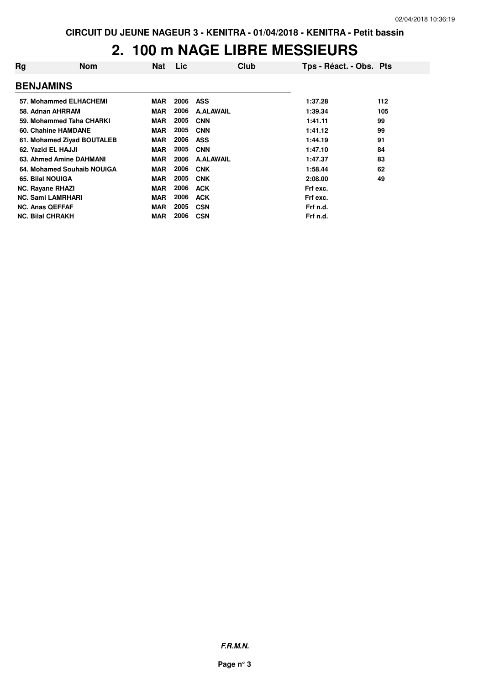# **2. 100 m NAGE LIBRE MESSIEURS**

| Rg                      | <b>Nom</b>                 | <b>Nat</b> | Lic  | Club             | Tps - Réact. - Obs. Pts |     |
|-------------------------|----------------------------|------------|------|------------------|-------------------------|-----|
| <b>BENJAMINS</b>        |                            |            |      |                  |                         |     |
|                         | 57. Mohammed ELHACHEMI     | <b>MAR</b> | 2006 | <b>ASS</b>       | 1:37.28                 | 112 |
|                         | 58. Adnan AHRRAM           | MAR        | 2006 | <b>A.ALAWAIL</b> | 1:39.34                 | 105 |
|                         | 59. Mohammed Taha CHARKI   | <b>MAR</b> | 2005 | <b>CNN</b>       | 1:41.11                 | 99  |
|                         | 60. Chahine HAMDANE        | MAR        | 2005 | <b>CNN</b>       | 1:41.12                 | 99  |
|                         | 61. Mohamed Ziyad BOUTALEB | <b>MAR</b> | 2006 | <b>ASS</b>       | 1:44.19                 | 91  |
| 62. Yazid EL HAJJI      |                            | <b>MAR</b> | 2005 | <b>CNN</b>       | 1:47.10                 | 84  |
|                         | 63. Ahmed Amine DAHMANI    | <b>MAR</b> | 2006 | <b>A.ALAWAIL</b> | 1:47.37                 | 83  |
|                         | 64. Mohamed Souhaib NOUIGA | <b>MAR</b> | 2006 | <b>CNK</b>       | 1:58.44                 | 62  |
| 65. Bilal NOUIGA        |                            | <b>MAR</b> | 2005 | <b>CNK</b>       | 2:08.00                 | 49  |
| <b>NC. Rayane RHAZI</b> |                            | <b>MAR</b> | 2006 | <b>ACK</b>       | Frf exc.                |     |
|                         | <b>NC. Sami LAMRHARI</b>   | <b>MAR</b> | 2006 | <b>ACK</b>       | Frf exc.                |     |
| <b>NC. Anas QEFFAF</b>  |                            | <b>MAR</b> | 2005 | <b>CSN</b>       | Frf n.d.                |     |
| <b>NC. Bilal CHRAKH</b> |                            | MAR        | 2006 | <b>CSN</b>       | Frf n.d.                |     |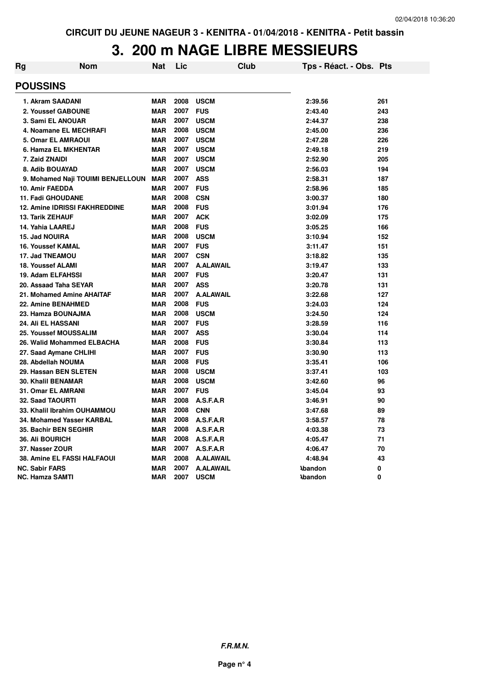## **3. 200 m NAGE LIBRE MESSIEURS**

| Rg | <b>Nom</b>                         | <b>Nat</b> | Lic  | Club             | Tps - Réact. - Obs. Pts |     |
|----|------------------------------------|------------|------|------------------|-------------------------|-----|
|    | <b>POUSSINS</b>                    |            |      |                  |                         |     |
|    | 1. Akram SAADANI                   | <b>MAR</b> | 2008 | <b>USCM</b>      | 2:39.56                 | 261 |
|    | 2. Youssef GABOUNE                 | <b>MAR</b> | 2007 | <b>FUS</b>       | 2:43.40                 | 243 |
|    | 3. Sami EL ANOUAR                  | <b>MAR</b> | 2007 | <b>USCM</b>      | 2:44.37                 | 238 |
|    | 4. Noamane EL MECHRAFI             | <b>MAR</b> | 2008 | <b>USCM</b>      | 2:45.00                 | 236 |
|    | 5. Omar EL AMRAOUI                 | <b>MAR</b> | 2007 | <b>USCM</b>      | 2:47.28                 | 226 |
|    | 6. Hamza EL MKHENTAR               | <b>MAR</b> | 2007 | <b>USCM</b>      | 2:49.18                 | 219 |
|    | 7. Zaid ZNAIDI                     | <b>MAR</b> | 2007 | <b>USCM</b>      | 2:52.90                 | 205 |
|    | 8. Adib BOUAYAD                    | <b>MAR</b> | 2007 | <b>USCM</b>      | 2:56.03                 | 194 |
|    | 9. Mohamed Naji TOUIMI BENJELLOUN  | <b>MAR</b> | 2007 | <b>ASS</b>       | 2:58.31                 | 187 |
|    | 10. Amir FAEDDA                    | <b>MAR</b> | 2007 | <b>FUS</b>       | 2:58.96                 | 185 |
|    | <b>11. Fadi GHOUDANE</b>           | <b>MAR</b> | 2008 | <b>CSN</b>       | 3:00.37                 | 180 |
|    | 12. Amine IDRISSI FAKHREDDINE      | <b>MAR</b> | 2008 | <b>FUS</b>       | 3:01.94                 | 176 |
|    | <b>13. Tarik ZEHAUF</b>            | <b>MAR</b> | 2007 | <b>ACK</b>       | 3:02.09                 | 175 |
|    | 14. Yahia LAAREJ                   | <b>MAR</b> | 2008 | <b>FUS</b>       | 3:05.25                 | 166 |
|    | 15. Jad NOUIRA                     | <b>MAR</b> | 2008 | <b>USCM</b>      | 3:10.94                 | 152 |
|    | <b>16. Youssef KAMAL</b>           | <b>MAR</b> | 2007 | <b>FUS</b>       | 3:11.47                 | 151 |
|    | 17. Jad TNEAMOU                    | <b>MAR</b> | 2007 | <b>CSN</b>       | 3:18.82                 | 135 |
|    | <b>18. Youssef ALAMI</b>           | <b>MAR</b> | 2007 | <b>A.ALAWAIL</b> | 3:19.47                 | 133 |
|    | 19. Adam ELFAHSSI                  | <b>MAR</b> | 2007 | <b>FUS</b>       | 3:20.47                 | 131 |
|    | 20. Assaad Taha SEYAR              | <b>MAR</b> | 2007 | <b>ASS</b>       | 3:20.78                 | 131 |
|    | 21. Mohamed Amine AHAITAF          | <b>MAR</b> | 2007 | <b>A.ALAWAIL</b> | 3:22.68                 | 127 |
|    | 22. Amine BENAHMED                 | <b>MAR</b> | 2008 | <b>FUS</b>       | 3:24.03                 | 124 |
|    | 23. Hamza BOUNAJMA                 | <b>MAR</b> | 2008 | <b>USCM</b>      | 3:24.50                 | 124 |
|    | <b>24. Ali EL HASSANI</b>          | <b>MAR</b> | 2007 | <b>FUS</b>       | 3:28.59                 | 116 |
|    | 25. Youssef MOUSSALIM              | <b>MAR</b> | 2007 | <b>ASS</b>       | 3:30.04                 | 114 |
|    | 26. Walid Mohammed ELBACHA         | <b>MAR</b> | 2008 | <b>FUS</b>       | 3:30.84                 | 113 |
|    | 27. Saad Aymane CHLIHI             | <b>MAR</b> | 2007 | <b>FUS</b>       | 3:30.90                 | 113 |
|    | 28. Abdellah NOUMA                 | <b>MAR</b> | 2008 | <b>FUS</b>       | 3:35.41                 | 106 |
|    | 29. Hassan BEN SLETEN              | <b>MAR</b> | 2008 | <b>USCM</b>      | 3:37.41                 | 103 |
|    | <b>30. Khalil BENAMAR</b>          | <b>MAR</b> | 2008 | <b>USCM</b>      | 3:42.60                 | 96  |
|    | <b>31. Omar EL AMRANI</b>          | <b>MAR</b> | 2007 | <b>FUS</b>       | 3:45.04                 | 93  |
|    | <b>32. Saad TAOURTI</b>            | <b>MAR</b> | 2008 | A.S.F.A.R        | 3:46.91                 | 90  |
|    | 33. Khalil Ibrahim OUHAMMOU        | <b>MAR</b> | 2008 | <b>CNN</b>       | 3:47.68                 | 89  |
|    | 34. Mohamed Yasser KARBAL          | <b>MAR</b> | 2008 | A.S.F.A.R        | 3:58.57                 | 78  |
|    | 35. Bachir BEN SEGHIR              | <b>MAR</b> | 2008 | A.S.F.A.R        | 4:03.38                 | 73  |
|    | <b>36. Ali BOURICH</b>             | <b>MAR</b> | 2008 | A.S.F.A.R        | 4:05.47                 | 71  |
|    | 37. Nasser ZOUR                    | <b>MAR</b> | 2007 | A.S.F.A.R        | 4:06.47                 | 70  |
|    | <b>38. Amine EL FASSI HALFAOUI</b> | <b>MAR</b> | 2008 | <b>A.ALAWAIL</b> | 4:48.94                 | 43  |
|    | <b>NC. Sabir FARS</b>              | <b>MAR</b> | 2007 | <b>A.ALAWAIL</b> | <b>Abandon</b>          | 0   |
|    | NC. Hamza SAMTI                    | <b>MAR</b> | 2007 | <b>USCM</b>      | <b>\bandon</b>          | 0   |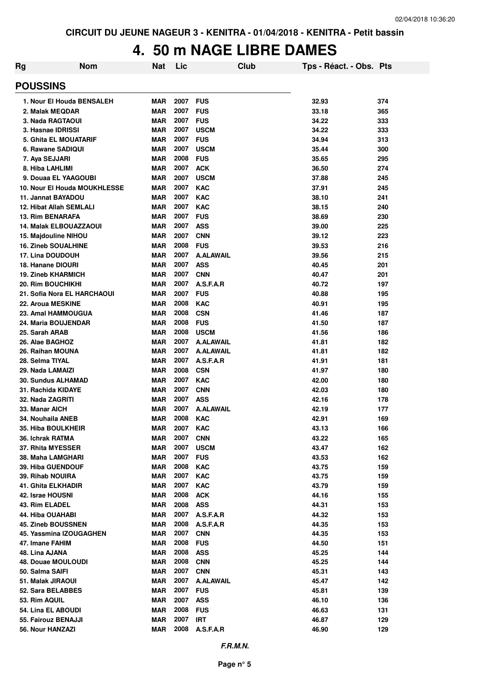### **4. 50 m NAGE LIBRE DAMES**

| Rg                                                        | <b>Nom</b> | Nat                      | Lic          | Club                     | Tps - Réact. - Obs. Pts |            |
|-----------------------------------------------------------|------------|--------------------------|--------------|--------------------------|-------------------------|------------|
| <b>POUSSINS</b>                                           |            |                          |              |                          |                         |            |
| 1. Nour El Houda BENSALEH                                 |            | <b>MAR</b>               | 2007         | <b>FUS</b>               | 32.93                   | 374        |
| 2. Malak MEQDAR                                           |            | <b>MAR</b>               | 2007         | <b>FUS</b>               | 33.18                   | 365        |
| 3. Nada RAGTAOUI                                          |            | <b>MAR</b>               | 2007         | <b>FUS</b>               | 34.22                   | 333        |
| 3. Hasnae IDRISSI                                         |            | <b>MAR</b>               | 2007         | <b>USCM</b>              | 34.22                   | 333        |
| <b>5. Ghita EL MOUATARIF</b>                              |            | <b>MAR</b>               | 2007         | <b>FUS</b>               | 34.94                   | 313        |
| 6. Rawane SADIQUI                                         |            | <b>MAR</b>               | 2007         | <b>USCM</b>              | 35.44                   | 300        |
| 7. Aya SEJJARI                                            |            | <b>MAR</b>               | 2008         | <b>FUS</b>               | 35.65                   | 295        |
| 8. Hiba LAHLIMI                                           |            | <b>MAR</b>               | 2007         | <b>ACK</b>               | 36.50                   | 274        |
| 9. Douaa EL YAAGOUBI                                      |            | <b>MAR</b>               | 2007         | <b>USCM</b>              | 37.88                   | 245        |
| 10. Nour El Houda MOUKHLESSE                              |            | <b>MAR</b>               | 2007         | <b>KAC</b>               | 37.91                   | 245        |
| 11. Jannat BAYADOU                                        |            | <b>MAR</b>               | 2007<br>2007 | <b>KAC</b><br><b>KAC</b> | 38.10                   | 241        |
| <b>12. Hibat Allah SEMLALI</b><br><b>13. Rim BENARAFA</b> |            | <b>MAR</b><br><b>MAR</b> | 2007         | <b>FUS</b>               | 38.15<br>38.69          | 240<br>230 |
| <b>14. Malak ELBOUAZZAOUI</b>                             |            | <b>MAR</b>               | 2007         | <b>ASS</b>               | 39.00                   | 225        |
| 15. Majdouline NIHOU                                      |            | <b>MAR</b>               | 2007         | <b>CNN</b>               | 39.12                   | 223        |
| <b>16. Zineb SOUALHINE</b>                                |            | <b>MAR</b>               | 2008         | <b>FUS</b>               | 39.53                   | 216        |
| 17. Lina DOUDOUH                                          |            | <b>MAR</b>               | 2007         | <b>A.ALAWAIL</b>         | 39.56                   | 215        |
| 18. Hanane DIOURI                                         |            | <b>MAR</b>               | 2007         | <b>ASS</b>               | 40.45                   | 201        |
| <b>19. Zineb KHARMICH</b>                                 |            | <b>MAR</b>               | 2007         | <b>CNN</b>               | 40.47                   | 201        |
| 20. Rim BOUCHIKHI                                         |            | <b>MAR</b>               | 2007         | A.S.F.A.R                | 40.72                   | 197        |
| 21. Sofia Nora EL HARCHAOUI                               |            | <b>MAR</b>               | 2007         | <b>FUS</b>               | 40.88                   | 195        |
| 22. Aroua MESKINE                                         |            | <b>MAR</b>               | 2008         | <b>KAC</b>               | 40.91                   | 195        |
| 23. Amal HAMMOUGUA                                        |            | <b>MAR</b>               | 2008         | <b>CSN</b>               | 41.46                   | 187        |
| 24. Maria BOUJENDAR                                       |            | <b>MAR</b>               | 2008         | <b>FUS</b>               | 41.50                   | 187        |
| 25. Sarah ARAB                                            |            | <b>MAR</b>               | 2008         | <b>USCM</b>              | 41.56                   | 186        |
| 26. Alae BAGHOZ                                           |            | <b>MAR</b>               | 2007         | <b>A.ALAWAIL</b>         | 41.81                   | 182        |
| 26. Raihan MOUNA                                          |            | <b>MAR</b>               | 2007         | <b>A.ALAWAIL</b>         | 41.81                   | 182        |
| 28. Selma TIYAL                                           |            | <b>MAR</b>               | 2007         | A.S.F.A.R                | 41.91                   | 181        |
| 29. Nada LAMAIZI                                          |            | <b>MAR</b>               | 2008         | <b>CSN</b>               | 41.97                   | 180        |
| <b>30. Sundus ALHAMAD</b>                                 |            | <b>MAR</b>               | 2007         | <b>KAC</b>               | 42.00                   | 180        |
| 31. Rachida KIDAYE                                        |            | <b>MAR</b>               | 2007         | <b>CNN</b>               | 42.03                   | 180        |
| 32. Nada ZAGRITI                                          |            | <b>MAR</b>               | 2007         | <b>ASS</b>               | 42.16                   | 178        |
| 33. Manar AICH                                            |            | <b>MAR</b>               | 2007         | <b>A.ALAWAIL</b>         | 42.19                   | 177        |
| 34. Nouhaila ANEB                                         |            | <b>MAR</b>               | 2008         | <b>KAC</b>               | 42.91                   | 169        |
| 35. Hiba BOULKHEIR                                        |            | <b>MAR</b>               | 2007         | <b>KAC</b>               | 43.13                   | 166        |
| 36. Ichrak RATMA                                          |            | <b>MAR</b>               | 2007         | <b>CNN</b>               | 43.22                   | 165        |
| 37. Rhita MYESSER                                         |            | <b>MAR</b>               | 2007         | <b>USCM</b>              | 43.47                   | 162        |
| 38. Maha LAMGHARI                                         |            | MAR                      | 2007         | <b>FUS</b>               | 43.53                   | 162        |
| <b>39. Hiba GUENDOUF</b>                                  |            | MAR<br><b>MAR</b>        | 2008<br>2007 | <b>KAC</b>               | 43.75                   | 159        |
| 39. Rihab NOUIRA<br>41. Ghita ELKHADIR                    |            | <b>MAR</b>               | 2007         | KAC<br><b>KAC</b>        | 43.75<br>43.79          | 159<br>159 |
| 42. Israe HOUSNI                                          |            | <b>MAR</b>               | 2008         | <b>ACK</b>               | 44.16                   | 155        |
| 43. Rim ELADEL                                            |            | <b>MAR</b>               | 2008         | <b>ASS</b>               | 44.31                   | 153        |
| 44. Hiba OUAHABI                                          |            | MAR                      | 2007         | A.S.F.A.R                | 44.32                   | 153        |
| <b>45. Zineb BOUSSNEN</b>                                 |            | MAR                      | 2008         | A.S.F.A.R                | 44.35                   | 153        |
| 45. Yassmina IZOUGAGHEN                                   |            | <b>MAR</b>               | 2007         | <b>CNN</b>               | 44.35                   | 153        |
| 47. Imane FAHIM                                           |            | <b>MAR</b>               | 2008         | <b>FUS</b>               | 44.50                   | 151        |
| 48. Lina AJANA                                            |            | MAR                      | 2008         | <b>ASS</b>               | 45.25                   | 144        |
| 48. Douae MOULOUDI                                        |            | <b>MAR</b>               | 2008         | <b>CNN</b>               | 45.25                   | 144        |
| 50. Salma SAIFI                                           |            | <b>MAR</b>               | 2007         | <b>CNN</b>               | 45.31                   | 143        |
| 51. Malak JIRAOUI                                         |            | <b>MAR</b>               | 2007         | <b>A.ALAWAIL</b>         | 45.47                   | 142        |
| 52. Sara BELABBES                                         |            | <b>MAR</b>               | 2007         | <b>FUS</b>               | 45.81                   | 139        |
| 53. Rim AQUIL                                             |            | <b>MAR</b>               | 2007         | <b>ASS</b>               | 46.10                   | 136        |
| 54. Lina EL ABOUDI                                        |            | <b>MAR</b>               | 2008         | <b>FUS</b>               | 46.63                   | 131        |
| 55. Fairouz BENAJJI                                       |            | <b>MAR</b>               | 2007         | IRT                      | 46.87                   | 129        |
| 56. Nour HANZAZI                                          |            | <b>MAR</b>               | 2008         | A.S.F.A.R                | 46.90                   | 129        |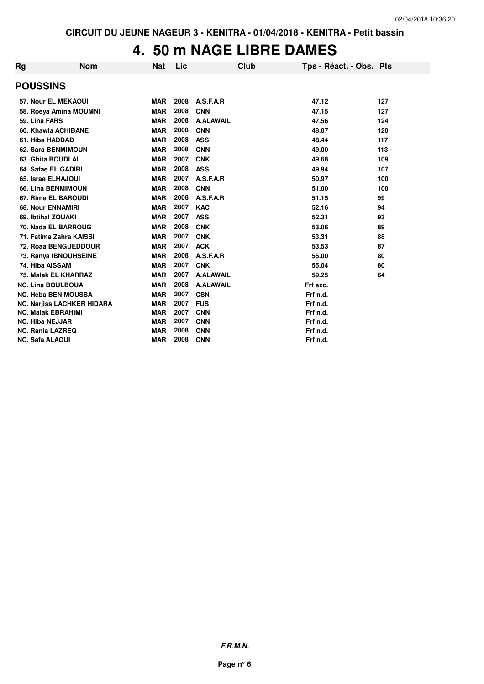### **4. 50 m NAGE LIBRE DAMES**

| Rg                     | <b>Nom</b>                        | <b>Nat</b> | Lic  | <b>Club</b>      | Tps - Réact. - Obs. Pts |     |
|------------------------|-----------------------------------|------------|------|------------------|-------------------------|-----|
| <b>POUSSINS</b>        |                                   |            |      |                  |                         |     |
|                        | 57. Nour EL MEKAOUI               | <b>MAR</b> | 2008 | A.S.F.A.R        | 47.12                   | 127 |
|                        | 58. Roeya Amina MOUMNI            | <b>MAR</b> | 2008 | <b>CNN</b>       | 47.15                   | 127 |
| 59. Lina FARS          |                                   | <b>MAR</b> | 2008 | <b>A.ALAWAIL</b> | 47.56                   | 124 |
|                        | 60. Khawla ACHIBANE               | <b>MAR</b> | 2008 | <b>CNN</b>       | 48.07                   | 120 |
|                        | 61. Hiba HADDAD                   | <b>MAR</b> | 2008 | <b>ASS</b>       | 48.44                   | 117 |
|                        | 62. Sara BENMIMOUN                | <b>MAR</b> | 2008 | <b>CNN</b>       | 49.00                   | 113 |
|                        | 63. Ghita BOUDLAL                 | <b>MAR</b> | 2007 | <b>CNK</b>       | 49.68                   | 109 |
|                        | 64. Safae EL GADIRI               | <b>MAR</b> | 2008 | <b>ASS</b>       | 49.94                   | 107 |
|                        | 65. Israe ELHAJOUI                | <b>MAR</b> | 2007 | A.S.F.A.R        | 50.97                   | 100 |
|                        | 66. Lina BENMIMOUN                | <b>MAR</b> | 2008 | <b>CNN</b>       | 51.00                   | 100 |
|                        | 67. Rime EL BAROUDI               | <b>MAR</b> | 2008 | A.S.F.A.R        | 51.15                   | 99  |
|                        | <b>68. Nour ENNAMIRI</b>          | <b>MAR</b> | 2007 | <b>KAC</b>       | 52.16                   | 94  |
|                        | 69. Ibtihal ZOUAKI                | <b>MAR</b> | 2007 | <b>ASS</b>       | 52.31                   | 93  |
|                        | 70. Nada EL BARROUG               | <b>MAR</b> | 2008 | <b>CNK</b>       | 53.06                   | 89  |
|                        | 71. Fatima Zahra KAISSI           | <b>MAR</b> | 2007 | <b>CNK</b>       | 53.31                   | 88  |
|                        | 72. Roaa BENGUEDDOUR              | <b>MAR</b> | 2007 | <b>ACK</b>       | 53.53                   | 87  |
|                        | 73. Ranya IBNOUHSEINE             | <b>MAR</b> | 2008 | A.S.F.A.R        | 55.00                   | 80  |
|                        | 74. Hiba AISSAM                   | <b>MAR</b> | 2007 | <b>CNK</b>       | 55.04                   | 80  |
|                        | 75. Malak EL KHARRAZ              | <b>MAR</b> | 2007 | <b>A.ALAWAIL</b> | 59.25                   | 64  |
|                        | <b>NC. Lina BOULBOUA</b>          | <b>MAR</b> | 2008 | <b>A.ALAWAIL</b> | Frf exc.                |     |
|                        | <b>NC. Heba BEN MOUSSA</b>        | <b>MAR</b> | 2007 | <b>CSN</b>       | Frf n.d.                |     |
|                        | <b>NC. Narjiss LACHKER HIDARA</b> | <b>MAR</b> | 2007 | <b>FUS</b>       | Frf n.d.                |     |
|                        | <b>NC. Malak EBRAHIMI</b>         | <b>MAR</b> | 2007 | <b>CNN</b>       | Frf n.d.                |     |
| <b>NC. Hiba NEJJAR</b> |                                   | <b>MAR</b> | 2007 | <b>CNN</b>       | Frf n.d.                |     |
|                        | <b>NC. Rania LAZREQ</b>           | <b>MAR</b> | 2008 | <b>CNN</b>       | Frf n.d.                |     |
| <b>NC. Safa ALAOUI</b> |                                   | <b>MAR</b> | 2008 | <b>CNN</b>       | Frf n.d.                |     |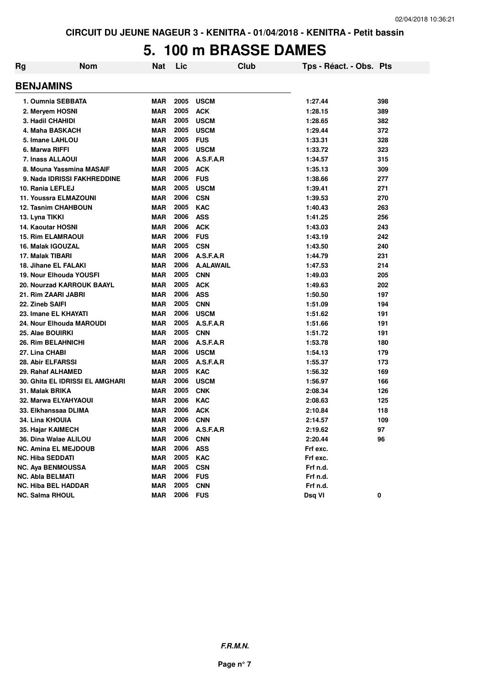### **5. 100 m BRASSE DAMES**

| Rg | <b>Nom</b>                             | Nat        | Lic  | <b>Club</b>      | Tps - Réact. - Obs. Pts |     |
|----|----------------------------------------|------------|------|------------------|-------------------------|-----|
|    | <b>BENJAMINS</b>                       |            |      |                  |                         |     |
|    | 1. Oumnia SEBBATA                      | <b>MAR</b> | 2005 | <b>USCM</b>      | 1:27.44                 | 398 |
|    | 2. Meryem HOSNI                        | <b>MAR</b> | 2005 | <b>ACK</b>       | 1:28.15                 | 389 |
|    | 3. Hadil CHAHIDI                       | <b>MAR</b> | 2005 | <b>USCM</b>      | 1:28.65                 | 382 |
|    | 4. Maha BASKACH                        | <b>MAR</b> | 2005 | <b>USCM</b>      | 1:29.44                 | 372 |
|    | 5. Imane LAHLOU                        | <b>MAR</b> | 2005 | <b>FUS</b>       | 1:33.31                 | 328 |
|    | 6. Marwa RIFFI                         | <b>MAR</b> | 2005 | <b>USCM</b>      | 1:33.72                 | 323 |
|    | 7. Inass ALLAOUI                       | <b>MAR</b> | 2006 | A.S.F.A.R        | 1:34.57                 | 315 |
|    | 8. Mouna Yassmina MASAIF               | <b>MAR</b> | 2005 | <b>ACK</b>       | 1:35.13                 | 309 |
|    | 9. Nada IDRISSI FAKHREDDINE            | <b>MAR</b> | 2006 | <b>FUS</b>       | 1:38.66                 | 277 |
|    | 10. Rania LEFLEJ                       | <b>MAR</b> | 2005 | <b>USCM</b>      | 1:39.41                 | 271 |
|    | <b>11. Youssra ELMAZOUNI</b>           | <b>MAR</b> | 2006 | <b>CSN</b>       | 1:39.53                 | 270 |
|    | 12. Tasnim CHAHBOUN                    | <b>MAR</b> | 2005 | <b>KAC</b>       | 1:40.43                 | 263 |
|    | 13. Lyna TIKKI                         | <b>MAR</b> | 2006 | <b>ASS</b>       | 1:41.25                 | 256 |
|    | <b>14. Kaoutar HOSNI</b>               | <b>MAR</b> | 2006 | <b>ACK</b>       | 1:43.03                 | 243 |
|    | <b>15. Rim ELAMRAOUI</b>               | <b>MAR</b> | 2006 | <b>FUS</b>       | 1:43.19                 | 242 |
|    | 16. Malak IGOUZAL                      | <b>MAR</b> | 2005 | <b>CSN</b>       | 1:43.50                 | 240 |
|    | 17. Malak TIBARI                       | <b>MAR</b> | 2006 | A.S.F.A.R        | 1:44.79                 | 231 |
|    | 18. Jihane EL FALAKI                   | <b>MAR</b> | 2006 | <b>A.ALAWAIL</b> | 1:47.53                 | 214 |
|    | 19. Nour Elhouda YOUSFI                | <b>MAR</b> | 2005 | <b>CNN</b>       | 1:49.03                 | 205 |
|    | 20. Nourzad KARROUK BAAYL              | MAR        | 2005 | <b>ACK</b>       | 1:49.63                 | 202 |
|    | 21. Rim ZAARI JABRI                    | <b>MAR</b> | 2006 | <b>ASS</b>       | 1:50.50                 | 197 |
|    | 22. Zineb SAIFI                        | <b>MAR</b> | 2005 | <b>CNN</b>       | 1:51.09                 | 194 |
|    | 23. Imane EL KHAYATI                   | <b>MAR</b> | 2006 | <b>USCM</b>      | 1:51.62                 | 191 |
|    | 24. Nour Elhouda MAROUDI               | <b>MAR</b> | 2005 | A.S.F.A.R        | 1:51.66                 | 191 |
|    | 25. Alae BOUIRKI                       | <b>MAR</b> | 2005 | <b>CNN</b>       | 1:51.72                 | 191 |
|    | <b>26. Rim BELAHNICHI</b>              | <b>MAR</b> | 2006 | A.S.F.A.R        | 1:53.78                 | 180 |
|    | 27. Lina CHABI                         | <b>MAR</b> | 2006 | <b>USCM</b>      | 1:54.13                 | 179 |
|    | 28. Abir ELFARSSI                      | <b>MAR</b> | 2005 | A.S.F.A.R        | 1:55.37                 | 173 |
|    | 29. Rahaf ALHAMED                      | MAR        | 2005 | <b>KAC</b>       | 1:56.32                 | 169 |
|    | <b>30. Ghita EL IDRISSI EL AMGHARI</b> | <b>MAR</b> | 2006 | <b>USCM</b>      | 1:56.97                 | 166 |
|    | 31. Malak BRIKA                        | <b>MAR</b> | 2005 | <b>CNK</b>       | 2:08.34                 | 126 |
|    | <b>32. Marwa ELYAHYAOUI</b>            | <b>MAR</b> | 2006 | <b>KAC</b>       | 2:08.63                 | 125 |
|    | 33. Elkhanssaa DLIMA                   | <b>MAR</b> | 2006 | <b>ACK</b>       | 2:10.84                 | 118 |
|    | <b>34. Lina KHOUIA</b>                 | <b>MAR</b> | 2006 | <b>CNN</b>       | 2:14.57                 | 109 |
|    | 35. Hajar KAIMECH                      | MAR        | 2006 | A.S.F.A.R        | 2:19.62                 | 97  |
|    | 36. Dina Walae ALILOU                  | <b>MAR</b> | 2006 | <b>CNN</b>       | 2:20.44                 | 96  |
|    | <b>NC. Amina EL MEJDOUB</b>            | <b>MAR</b> | 2006 | <b>ASS</b>       | Frf exc.                |     |
|    | <b>NC. Hiba SEDDATI</b>                | <b>MAR</b> | 2005 | <b>KAC</b>       | Frf exc.                |     |
|    | <b>NC. Aya BENMOUSSA</b>               | <b>MAR</b> | 2005 | <b>CSN</b>       | Frf n.d.                |     |
|    | <b>NC. Abla BELMATI</b>                | <b>MAR</b> | 2006 | <b>FUS</b>       | Frf n.d.                |     |
|    | <b>NC. Hiba BEL HADDAR</b>             | <b>MAR</b> | 2005 | <b>CNN</b>       | Frf n.d.                |     |
|    | <b>NC. Salma RHOUL</b>                 | <b>MAR</b> | 2006 | <b>FUS</b>       | Dsq VI                  | 0   |

**F.R.M.N.**

**Page n° 7**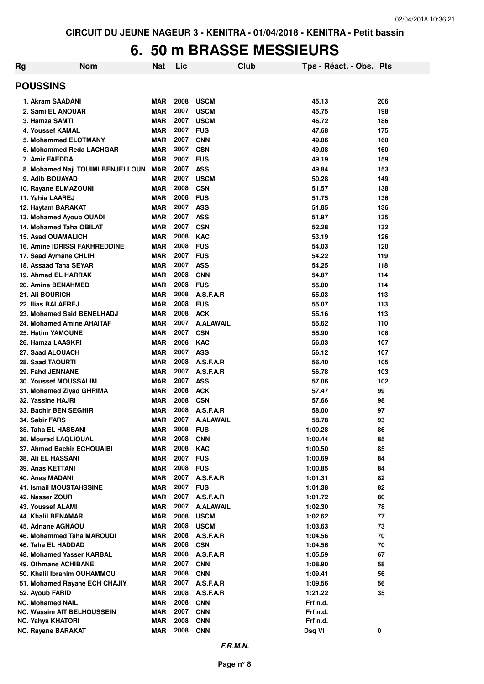### **6. 50 m BRASSE MESSIEURS**

| <b>Rg</b><br><b>Nom</b>                       | Nat                      | Lic          |                          | Club | Tps - Réact. - Obs. Pts |          |
|-----------------------------------------------|--------------------------|--------------|--------------------------|------|-------------------------|----------|
| <b>POUSSINS</b>                               |                          |              |                          |      |                         |          |
| 1. Akram SAADANI                              | MAR                      | 2008         | <b>USCM</b>              |      | 45.13                   | 206      |
| 2. Sami EL ANOUAR                             | <b>MAR</b>               | 2007         | <b>USCM</b>              |      | 45.75                   | 198      |
| 3. Hamza SAMTI                                | <b>MAR</b>               | 2007         | <b>USCM</b>              |      | 46.72                   | 186      |
| 4. Youssef KAMAL                              | <b>MAR</b>               | 2007         | <b>FUS</b>               |      | 47.68                   | 175      |
| 5. Mohammed ELOTMANY                          | <b>MAR</b>               | 2007         | <b>CNN</b>               |      | 49.06                   | 160      |
| 6. Mohammed Reda LACHGAR                      | <b>MAR</b>               | 2007         | <b>CSN</b>               |      | 49.08                   | 160      |
| 7. Amir FAEDDA                                | <b>MAR</b>               | 2007         | <b>FUS</b>               |      | 49.19                   | 159      |
| 8. Mohamed Naji TOUIMI BENJELLOUN             | <b>MAR</b>               | 2007         | <b>ASS</b>               |      | 49.84                   | 153      |
| 9. Adib BOUAYAD                               | MAR                      | 2007         | <b>USCM</b>              |      | 50.28                   | 149      |
| 10. Rayane ELMAZOUNI                          | MAR                      | 2008         | <b>CSN</b>               |      | 51.57                   | 138      |
| 11. Yahia LAAREJ                              | MAR                      | 2008         | <b>FUS</b>               |      | 51.75                   | 136      |
| 12. Haytam BARAKAT                            | <b>MAR</b>               | 2007         | <b>ASS</b>               |      | 51.85                   | 136      |
| 13. Mohamed Ayoub OUADI                       | MAR                      | 2007         | <b>ASS</b>               |      | 51.97                   | 135      |
| 14. Mohamed Taha OBILAT                       | <b>MAR</b>               | 2007         | <b>CSN</b>               |      | 52.28                   | 132      |
| <b>15. Asad OUAMALICH</b>                     | <b>MAR</b>               | 2008         | <b>KAC</b>               |      | 53.19                   | 126      |
| <b>16. Amine IDRISSI FAKHREDDINE</b>          | <b>MAR</b>               | 2008         | <b>FUS</b>               |      | 54.03                   | 120      |
| 17. Saad Aymane CHLIHI                        | MAR                      | 2007         | <b>FUS</b>               |      | 54.22                   | 119      |
| 18. Assaad Taha SEYAR                         | <b>MAR</b>               | 2007         | <b>ASS</b>               |      | 54.25                   | 118      |
| 19. Ahmed EL HARRAK                           | <b>MAR</b>               | 2008         | <b>CNN</b>               |      | 54.87                   | 114      |
| 20. Amine BENAHMED                            | <b>MAR</b>               | 2008         | <b>FUS</b>               |      | 55.00                   | 114      |
| 21. Ali BOURICH                               | <b>MAR</b>               | 2008         | A.S.F.A.R                |      | 55.03                   | 113      |
| 22. Ilias BALAFREJ                            | <b>MAR</b>               | 2008         | <b>FUS</b>               |      | 55.07                   | 113      |
| 23. Mohamed Said BENELHADJ                    | MAR                      | 2008         | <b>ACK</b>               |      | 55.16                   | 113      |
| 24. Mohamed Amine AHAITAF                     | <b>MAR</b>               | 2007         | <b>A.ALAWAIL</b>         |      | 55.62                   | 110      |
| <b>25. Hatim YAMOUNE</b>                      | <b>MAR</b>               | 2007         | <b>CSN</b>               |      | 55.90                   | 108      |
| 26. Hamza LAASKRI                             | <b>MAR</b>               | 2008         | <b>KAC</b>               |      | 56.03                   | 107      |
| 27. Saad ALOUACH                              | <b>MAR</b>               | 2007         | <b>ASS</b>               |      | 56.12                   | 107      |
| <b>28. Saad TAOURTI</b>                       | <b>MAR</b>               | 2008         | A.S.F.A.R                |      | 56.40                   | 105      |
| 29. Fahd JENNANE                              | <b>MAR</b>               | 2007         | A.S.F.A.R                |      | 56.78                   | 103      |
| <b>30. Youssef MOUSSALIM</b>                  | <b>MAR</b>               | 2007         | <b>ASS</b>               |      | 57.06                   | 102      |
| 31. Mohamed Ziyad GHRIMA                      | <b>MAR</b>               | 2008         | <b>ACK</b>               |      | 57.47                   | 99       |
| 32. Yassine HAJRI                             | <b>MAR</b>               | 2008         | <b>CSN</b>               |      | 57.66                   | 98       |
| 33. Bachir BEN SEGHIR                         | <b>MAR</b>               | 2008         | A.S.F.A.R                |      | 58.00                   | 97       |
| 34. Sabir FARS                                | MAR                      | 2007<br>2008 | <b>A.ALAWAIL</b>         |      | 58.78                   | 93       |
| <b>35. Taha EL HASSANI</b>                    | <b>MAR</b>               |              | <b>FUS</b>               |      | 1:00.28                 | 86       |
| <b>36. Mourad LAQLIOUAL</b>                   | <b>MAR</b>               | 2008<br>2008 | <b>CNN</b>               |      | 1:00.44                 | 85       |
| 37. Ahmed Bachir ECHOUAIBI                    | <b>MAR</b><br><b>MAR</b> | 2007         | <b>KAC</b>               |      | 1:00.50                 | 85       |
| <b>38. Ali EL HASSANI</b><br>39. Anas KETTANI | MAR                      | 2008         | <b>FUS</b><br><b>FUS</b> |      | 1:00.69<br>1:00.85      | 84<br>84 |
| 40. Anas MADANI                               | MAR                      | 2007         | A.S.F.A.R                |      | 1:01.31                 | 82       |
| <b>41. Ismail MOUSTAHSSINE</b>                | MAR                      | 2007         | <b>FUS</b>               |      | 1:01.38                 | 82       |
| 42. Nasser ZOUR                               | <b>MAR</b>               | 2007         | A.S.F.A.R                |      | 1:01.72                 | 80       |
| <b>43. Youssef ALAMI</b>                      | <b>MAR</b>               | 2007         | <b>A.ALAWAIL</b>         |      | 1:02.30                 | 78       |
| 44. Khalil BENAMAR                            | <b>MAR</b>               | 2008         | <b>USCM</b>              |      | 1:02.62                 | 77       |
| 45. Adnane AGNAOU                             | <b>MAR</b>               | 2008         | <b>USCM</b>              |      | 1:03.63                 | 73       |
| 46. Mohammed Taha MAROUDI                     | MAR                      | 2008         | A.S.F.A.R                |      | 1:04.56                 | 70       |
| 46. Taha EL HADDAD                            | <b>MAR</b>               | 2008         | <b>CSN</b>               |      | 1:04.56                 | 70       |
| 48. Mohamed Yasser KARBAL                     | <b>MAR</b>               | 2008         | A.S.F.A.R                |      | 1:05.59                 | 67       |
| 49. Othmane ACHIBANE                          | <b>MAR</b>               | 2007         | <b>CNN</b>               |      | 1:08.90                 | 58       |
| 50. Khalil Ibrahim OUHAMMOU                   | <b>MAR</b>               | 2008         | <b>CNN</b>               |      | 1:09.41                 | 56       |
| 51. Mohamed Rayane ECH CHAJIY                 | <b>MAR</b>               | 2007         | A.S.F.A.R                |      | 1:09.56                 | 56       |
| 52. Ayoub FARID                               | MAR                      | 2008         | A.S.F.A.R                |      | 1:21.22                 | 35       |
| <b>NC. Mohamed NAIL</b>                       | <b>MAR</b>               | 2008         | <b>CNN</b>               |      | Frf n.d.                |          |
| NC. Wassim AIT BELHOUSSEIN                    | <b>MAR</b>               | 2007         | <b>CNN</b>               |      | Frf n.d.                |          |
| <b>NC. Yahya KHATORI</b>                      | <b>MAR</b>               | 2008         | <b>CNN</b>               |      | Frf n.d.                |          |
| <b>NC. Rayane BARAKAT</b>                     | <b>MAR</b>               | 2008         | <b>CNN</b>               |      | Dsq VI                  | 0        |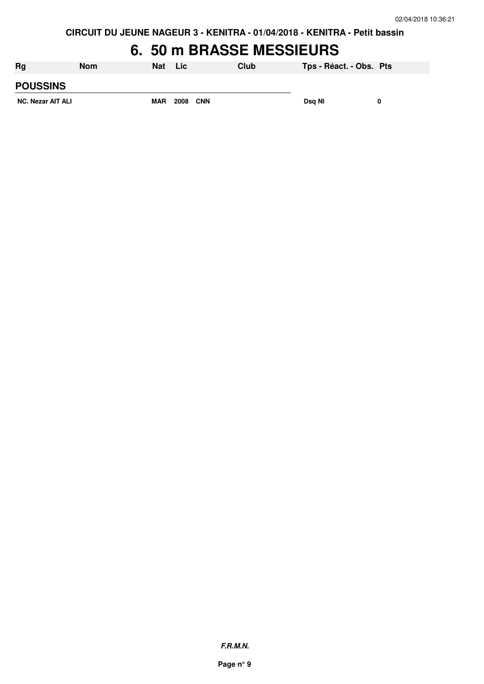# **6. 50 m BRASSE MESSIEURS**

| <b>Rg</b>                | <b>Nom</b> | <b>Nat</b> | <b>Lic</b>  | Club | Tps - Réact. - Obs. Pts |  |
|--------------------------|------------|------------|-------------|------|-------------------------|--|
| <b>POUSSINS</b>          |            |            |             |      |                         |  |
| <b>NC. Nezar AIT ALI</b> |            | <b>MAR</b> | 2008<br>CNN |      | Dsa NI                  |  |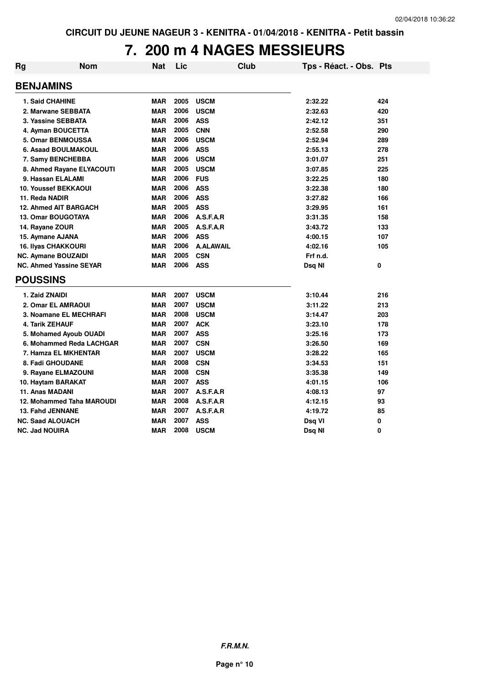## **7. 200 m 4 NAGES MESSIEURS**

| <b>Rg</b> | Nom                            | Nat        | Lic      | Club             | Tps - Réact. - Obs. Pts |          |
|-----------|--------------------------------|------------|----------|------------------|-------------------------|----------|
|           | <b>BENJAMINS</b>               |            |          |                  |                         |          |
|           | <b>1. Said CHAHINE</b>         | <b>MAR</b> | 2005     | <b>USCM</b>      | 2:32.22                 | 424      |
|           | 2. Marwane SEBBATA             | <b>MAR</b> | 2006     | <b>USCM</b>      | 2:32.63                 | 420      |
|           | 3. Yassine SEBBATA             | <b>MAR</b> | 2006     | <b>ASS</b>       | 2:42.12                 | 351      |
|           | 4. Ayman BOUCETTA              | <b>MAR</b> | 2005     | <b>CNN</b>       | 2:52.58                 | 290      |
|           | 5. Omar BENMOUSSA              | <b>MAR</b> | 2006     | <b>USCM</b>      | 2:52.94                 | 289      |
|           | 6. Asaad BOULMAKOUL            | <b>MAR</b> | 2006     | <b>ASS</b>       | 2:55.13                 | 278      |
|           | 7. Samy BENCHEBBA              | <b>MAR</b> | 2006     | <b>USCM</b>      | 3:01.07                 | 251      |
|           | 8. Ahmed Rayane ELYACOUTI      | <b>MAR</b> | 2005     | <b>USCM</b>      | 3:07.85                 | 225      |
|           | 9. Hassan ELALAMI              | <b>MAR</b> | 2006     | <b>FUS</b>       | 3:22.25                 | 180      |
|           | <b>10. Youssef BEKKAOUI</b>    | <b>MAR</b> | 2006     | <b>ASS</b>       | 3:22.38                 | 180      |
|           | 11. Reda NADIR                 | <b>MAR</b> | 2006     | <b>ASS</b>       | 3:27.82                 | 166      |
|           | <b>12. Ahmed AIT BARGACH</b>   | <b>MAR</b> | 2005     | <b>ASS</b>       | 3:29.95                 | 161      |
|           | <b>13. Omar BOUGOTAYA</b>      | <b>MAR</b> | 2006     | A.S.F.A.R        | 3:31.35                 | 158      |
|           | 14. Rayane ZOUR                | <b>MAR</b> | 2005     | A.S.F.A.R        | 3:43.72                 | 133      |
|           | 15. Aymane AJANA               | <b>MAR</b> | 2006     | <b>ASS</b>       | 4:00.15                 | 107      |
|           | <b>16. Ilyas CHAKKOURI</b>     | <b>MAR</b> | 2006     | <b>A.ALAWAIL</b> | 4:02.16                 | 105      |
|           | <b>NC. Aymane BOUZAIDI</b>     | <b>MAR</b> | 2005     | <b>CSN</b>       | Frf n.d.                |          |
|           | <b>NC. Ahmed Yassine SEYAR</b> | <b>MAR</b> | 2006 ASS |                  | Dsg NI                  | $\bf{0}$ |
|           | <b>POUSSINS</b>                |            |          |                  |                         |          |
|           | 1. Zaid ZNAIDI                 | <b>MAR</b> | 2007     | <b>USCM</b>      | 3:10.44                 | 216      |
|           | 2. Omar EL AMRAOUI             | <b>MAR</b> | 2007     | <b>USCM</b>      | 3:11.22                 | 213      |
|           | 3. Noamane EL MECHRAFI         | <b>MAR</b> | 2008     | <b>USCM</b>      | 3:14.47                 | 203      |
|           | 4. Tarik ZEHAUF                | <b>MAR</b> | 2007     | <b>ACK</b>       | 3:23.10                 | 178      |
|           | 5. Mohamed Ayoub OUADI         | <b>MAR</b> | 2007     | <b>ASS</b>       | 3:25.16                 | 173      |
|           | 6. Mohammed Reda LACHGAR       | <b>MAR</b> | 2007     | <b>CSN</b>       | 3:26.50                 | 169      |
|           | 7. Hamza EL MKHENTAR           | <b>MAR</b> | 2007     | <b>USCM</b>      | 3:28.22                 | 165      |
|           | 8. Fadi GHOUDANE               | <b>MAR</b> | 2008     | <b>CSN</b>       | 3:34.53                 | 151      |
|           | 9. Rayane ELMAZOUNI            | <b>MAR</b> | 2008     | <b>CSN</b>       | 3:35.38                 | 149      |
|           | 10. Haytam BARAKAT             | <b>MAR</b> | 2007     | <b>ASS</b>       | 4:01.15                 | 106      |
|           | 11. Anas MADANI                | <b>MAR</b> | 2007     | A.S.F.A.R        | 4:08.13                 | 97       |
|           | 12. Mohammed Taha MAROUDI      | <b>MAR</b> | 2008     | A.S.F.A.R        | 4:12.15                 | 93       |
|           | 13. Fahd JENNANE               | <b>MAR</b> | 2007     | A.S.F.A.R        | 4:19.72                 | 85       |
|           | <b>NC. Saad ALOUACH</b>        | <b>MAR</b> | 2007     | <b>ASS</b>       | Dsq VI                  | 0        |
|           | <b>NC. Jad NOUIRA</b>          | <b>MAR</b> | 2008     | <b>USCM</b>      | Dsg NI                  | 0        |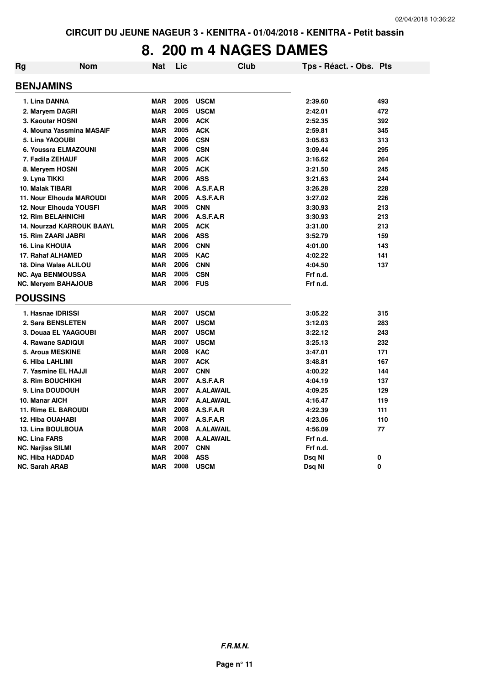# **8. 200 m 4 NAGES DAMES**

| Rg | Nom                              | <b>Nat</b> | Lic  |                  | <b>Club</b> | Tps - Réact. - Obs. Pts |     |
|----|----------------------------------|------------|------|------------------|-------------|-------------------------|-----|
|    | <b>BENJAMINS</b>                 |            |      |                  |             |                         |     |
|    | 1. Lina DANNA                    | <b>MAR</b> | 2005 | <b>USCM</b>      |             | 2:39.60                 | 493 |
|    | 2. Maryem DAGRI                  | <b>MAR</b> | 2005 | <b>USCM</b>      |             | 2:42.01                 | 472 |
|    | 3. Kaoutar HOSNI                 | <b>MAR</b> | 2006 | <b>ACK</b>       |             | 2:52.35                 | 392 |
|    | 4. Mouna Yassmina MASAIF         | <b>MAR</b> | 2005 | <b>ACK</b>       |             | 2:59.81                 | 345 |
|    | 5. Lina YAQOUBI                  | <b>MAR</b> | 2006 | <b>CSN</b>       |             | 3:05.63                 | 313 |
|    | 6. Youssra ELMAZOUNI             | <b>MAR</b> | 2006 | <b>CSN</b>       |             | 3:09.44                 | 295 |
|    | 7. Fadila ZEHAUF                 | <b>MAR</b> | 2005 | <b>ACK</b>       |             | 3:16.62                 | 264 |
|    | 8. Meryem HOSNI                  | <b>MAR</b> | 2005 | <b>ACK</b>       |             | 3:21.50                 | 245 |
|    | 9. Lyna TIKKI                    | <b>MAR</b> | 2006 | <b>ASS</b>       |             | 3:21.63                 | 244 |
|    | 10. Malak TIBARI                 | <b>MAR</b> | 2006 | A.S.F.A.R        |             | 3:26.28                 | 228 |
|    | <b>11. Nour Elhouda MAROUDI</b>  | <b>MAR</b> | 2005 | A.S.F.A.R        |             | 3:27.02                 | 226 |
|    | 12. Nour Elhouda YOUSFI          | <b>MAR</b> | 2005 | <b>CNN</b>       |             | 3:30.93                 | 213 |
|    | <b>12. Rim BELAHNICHI</b>        | <b>MAR</b> | 2006 | A.S.F.A.R        |             | 3:30.93                 | 213 |
|    | <b>14. Nourzad KARROUK BAAYL</b> | <b>MAR</b> | 2005 | <b>ACK</b>       |             | 3:31.00                 | 213 |
|    | <b>15. Rim ZAARI JABRI</b>       | <b>MAR</b> | 2006 | <b>ASS</b>       |             | 3:52.79                 | 159 |
|    | <b>16. Lina KHOUIA</b>           | <b>MAR</b> | 2006 | <b>CNN</b>       |             | 4:01.00                 | 143 |
|    | 17. Rahaf ALHAMED                | <b>MAR</b> | 2005 | <b>KAC</b>       |             | 4:02.22                 | 141 |
|    | 18. Dina Walae ALILOU            | <b>MAR</b> | 2006 | <b>CNN</b>       |             | 4:04.50                 | 137 |
|    | <b>NC. Aya BENMOUSSA</b>         | <b>MAR</b> | 2005 | <b>CSN</b>       |             | Frf n.d.                |     |
|    | <b>NC. Meryem BAHAJOUB</b>       | <b>MAR</b> | 2006 | <b>FUS</b>       |             | Frf n.d.                |     |
|    | <b>POUSSINS</b>                  |            |      |                  |             |                         |     |
|    | 1. Hasnae IDRISSI                | <b>MAR</b> | 2007 | <b>USCM</b>      |             | 3:05.22                 | 315 |
|    | 2. Sara BENSLETEN                | <b>MAR</b> | 2007 | <b>USCM</b>      |             | 3:12.03                 | 283 |
|    | 3. Douaa EL YAAGOUBI             | <b>MAR</b> | 2007 | <b>USCM</b>      |             | 3:22.12                 | 243 |
|    | 4. Rawane SADIQUI                | <b>MAR</b> | 2007 | <b>USCM</b>      |             | 3:25.13                 | 232 |
|    | <b>5. Aroua MESKINE</b>          | <b>MAR</b> | 2008 | <b>KAC</b>       |             | 3:47.01                 | 171 |
|    | 6. Hiba LAHLIMI                  | <b>MAR</b> | 2007 | <b>ACK</b>       |             | 3:48.81                 | 167 |
|    | 7. Yasmine EL HAJJI              | <b>MAR</b> | 2007 | <b>CNN</b>       |             | 4:00.22                 | 144 |
|    | 8. Rim BOUCHIKHI                 | <b>MAR</b> | 2007 | A.S.F.A.R        |             | 4:04.19                 | 137 |
|    | 9. Lina DOUDOUH                  | <b>MAR</b> | 2007 | <b>A.ALAWAIL</b> |             | 4:09.25                 | 129 |
|    | 10. Manar AICH                   | <b>MAR</b> | 2007 | <b>A.ALAWAIL</b> |             | 4:16.47                 | 119 |
|    | <b>11. Rime EL BAROUDI</b>       | <b>MAR</b> | 2008 | A.S.F.A.R        |             | 4:22.39                 | 111 |
|    | <b>12. Hiba OUAHABI</b>          | <b>MAR</b> | 2007 | A.S.F.A.R        |             | 4:23.06                 | 110 |
|    | <b>13. Lina BOULBOUA</b>         | <b>MAR</b> | 2008 | <b>A.ALAWAIL</b> |             | 4:56.09                 | 77  |
|    | <b>NC. Lina FARS</b>             | <b>MAR</b> | 2008 | <b>A.ALAWAIL</b> |             | Frf n.d.                |     |
|    | <b>NC. Narjiss SILMI</b>         | <b>MAR</b> | 2007 | <b>CNN</b>       |             | Frf n.d.                |     |
|    | <b>NC. Hiba HADDAD</b>           | <b>MAR</b> | 2008 | <b>ASS</b>       |             | Dsq NI                  | 0   |
|    | <b>NC. Sarah ARAB</b>            | <b>MAR</b> | 2008 | <b>USCM</b>      |             | Dsq NI                  | 0   |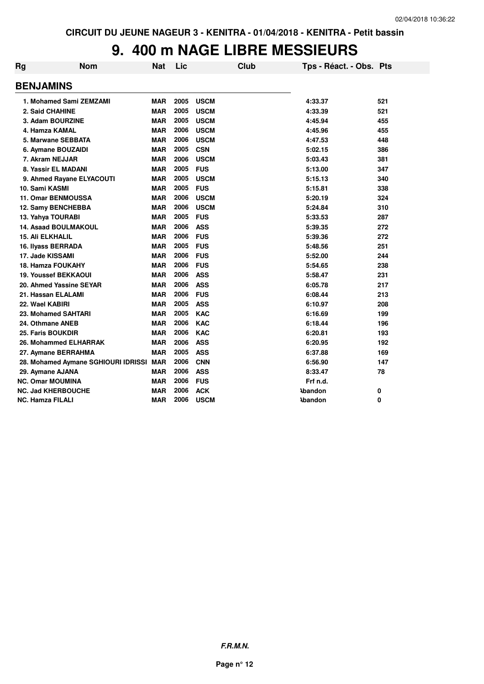### **9. 400 m NAGE LIBRE MESSIEURS**

| <b>Rg</b> | <b>Nom</b>                          | Nat        | Lic  |             | Club | Tps - Réact. - Obs. Pts |     |
|-----------|-------------------------------------|------------|------|-------------|------|-------------------------|-----|
|           | <b>BENJAMINS</b>                    |            |      |             |      |                         |     |
|           | 1. Mohamed Sami ZEMZAMI             | <b>MAR</b> | 2005 | <b>USCM</b> |      | 4:33.37                 | 521 |
|           | 2. Said CHAHINE                     | <b>MAR</b> | 2005 | <b>USCM</b> |      | 4:33.39                 | 521 |
|           | 3. Adam BOURZINE                    | <b>MAR</b> | 2005 | <b>USCM</b> |      | 4:45.94                 | 455 |
|           | 4. Hamza KAMAL                      | <b>MAR</b> | 2006 | <b>USCM</b> |      | 4:45.96                 | 455 |
|           | 5. Marwane SEBBATA                  | <b>MAR</b> | 2006 | <b>USCM</b> |      | 4:47.53                 | 448 |
|           | 6. Aymane BOUZAIDI                  | <b>MAR</b> | 2005 | <b>CSN</b>  |      | 5:02.15                 | 386 |
|           | 7. Akram NEJJAR                     | <b>MAR</b> | 2006 | <b>USCM</b> |      | 5:03.43                 | 381 |
|           | 8. Yassir EL MADANI                 | <b>MAR</b> | 2005 | <b>FUS</b>  |      | 5:13.00                 | 347 |
|           | 9. Ahmed Rayane ELYACOUTI           | <b>MAR</b> | 2005 | <b>USCM</b> |      | 5:15.13                 | 340 |
|           | 10. Sami KASMI                      | <b>MAR</b> | 2005 | <b>FUS</b>  |      | 5:15.81                 | 338 |
|           | <b>11. Omar BENMOUSSA</b>           | <b>MAR</b> | 2006 | <b>USCM</b> |      | 5:20.19                 | 324 |
|           | 12. Samy BENCHEBBA                  | <b>MAR</b> | 2006 | <b>USCM</b> |      | 5:24.84                 | 310 |
|           | 13. Yahya TOURABI                   | <b>MAR</b> | 2005 | <b>FUS</b>  |      | 5:33.53                 | 287 |
|           | <b>14. Asaad BOULMAKOUL</b>         | <b>MAR</b> | 2006 | <b>ASS</b>  |      | 5:39.35                 | 272 |
|           | <b>15. Ali ELKHALIL</b>             | <b>MAR</b> | 2006 | <b>FUS</b>  |      | 5:39.36                 | 272 |
|           | 16. Ilyass BERRADA                  | <b>MAR</b> | 2005 | <b>FUS</b>  |      | 5:48.56                 | 251 |
|           | 17. Jade KISSAMI                    | <b>MAR</b> | 2006 | <b>FUS</b>  |      | 5:52.00                 | 244 |
|           | <b>18. Hamza FOUKAHY</b>            | <b>MAR</b> | 2006 | <b>FUS</b>  |      | 5:54.65                 | 238 |
|           | <b>19. Youssef BEKKAOUI</b>         | <b>MAR</b> | 2006 | <b>ASS</b>  |      | 5:58.47                 | 231 |
|           | 20. Ahmed Yassine SEYAR             | <b>MAR</b> | 2006 | <b>ASS</b>  |      | 6:05.78                 | 217 |
|           | 21. Hassan ELALAMI                  | <b>MAR</b> | 2006 | <b>FUS</b>  |      | 6:08.44                 | 213 |
|           | 22. Wael KABIRI                     | <b>MAR</b> | 2005 | <b>ASS</b>  |      | 6:10.97                 | 208 |
|           | 23. Mohamed SAHTARI                 | <b>MAR</b> | 2005 | <b>KAC</b>  |      | 6:16.69                 | 199 |
|           | 24. Othmane ANEB                    | <b>MAR</b> | 2006 | <b>KAC</b>  |      | 6:18.44                 | 196 |
|           | 25. Faris BOUKDIR                   | <b>MAR</b> | 2006 | <b>KAC</b>  |      | 6:20.81                 | 193 |
|           | 26. Mohammed ELHARRAK               | <b>MAR</b> | 2006 | <b>ASS</b>  |      | 6:20.95                 | 192 |
|           | 27. Aymane BERRAHMA                 | <b>MAR</b> | 2005 | <b>ASS</b>  |      | 6:37.88                 | 169 |
|           | 28. Mohamed Aymane SGHIOURI IDRISSI | <b>MAR</b> | 2006 | <b>CNN</b>  |      | 6:56.90                 | 147 |
|           | 29. Aymane AJANA                    | <b>MAR</b> | 2006 | <b>ASS</b>  |      | 8:33.47                 | 78  |
|           | <b>NC. Omar MOUMINA</b>             | <b>MAR</b> | 2006 | <b>FUS</b>  |      | Frf n.d.                |     |
|           | <b>NC. Jad KHERBOUCHE</b>           | <b>MAR</b> | 2006 | <b>ACK</b>  |      | <b>\bandon</b>          | 0   |
|           | NC. Hamza FILALI                    | <b>MAR</b> | 2006 | <b>USCM</b> |      | <b>\bandon</b>          | 0   |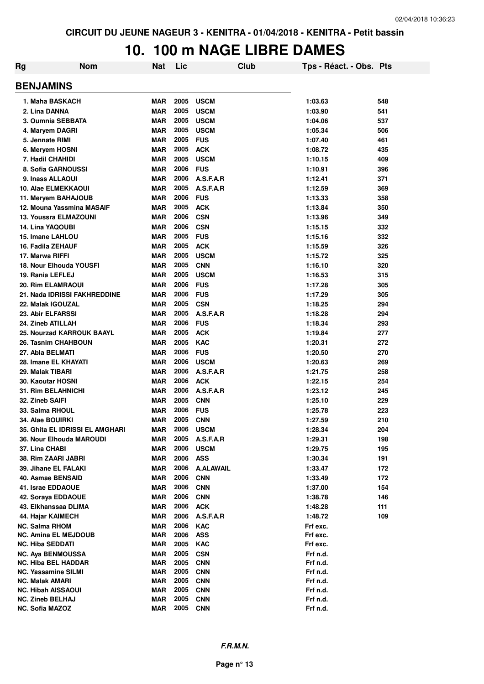### **10. 100 m NAGE LIBRE DAMES**

| Rg | <b>Nom</b>                                  | <b>Nat</b>               | Lic          | Club                           | Tps - Réact. - Obs. Pts |            |  |  |  |
|----|---------------------------------------------|--------------------------|--------------|--------------------------------|-------------------------|------------|--|--|--|
|    | <b>BENJAMINS</b>                            |                          |              |                                |                         |            |  |  |  |
|    | 1. Maha BASKACH                             | MAR                      | 2005         | <b>USCM</b>                    | 1:03.63                 | 548        |  |  |  |
|    | 2. Lina DANNA                               | <b>MAR</b>               | 2005         | <b>USCM</b>                    | 1:03.90                 | 541        |  |  |  |
|    | 3. Oumnia SEBBATA                           | <b>MAR</b>               | 2005         | <b>USCM</b>                    | 1:04.06                 | 537        |  |  |  |
|    | 4. Maryem DAGRI                             | <b>MAR</b>               | 2005         | <b>USCM</b>                    | 1:05.34                 | 506        |  |  |  |
|    | 5. Jennate RIMI                             | <b>MAR</b>               | 2005         | <b>FUS</b>                     | 1:07.40                 | 461        |  |  |  |
|    | 6. Meryem HOSNI                             | <b>MAR</b>               | 2005         | <b>ACK</b>                     | 1:08.72                 | 435        |  |  |  |
|    | 7. Hadil CHAHIDI                            | <b>MAR</b>               | 2005         | <b>USCM</b>                    | 1:10.15                 | 409        |  |  |  |
|    | 8. Sofia GARNOUSSI                          | <b>MAR</b>               | 2006         | <b>FUS</b>                     | 1:10.91                 | 396        |  |  |  |
|    | 9. Inass ALLAOUI                            | <b>MAR</b>               | 2006         | A.S.F.A.R                      | 1:12.41                 | 371        |  |  |  |
|    | 10. Alae ELMEKKAOUI                         | <b>MAR</b>               | 2005         | A.S.F.A.R                      | 1:12.59                 | 369        |  |  |  |
|    | 11. Meryem BAHAJOUB                         | <b>MAR</b>               | 2006         | <b>FUS</b>                     | 1:13.33                 | 358        |  |  |  |
|    | 12. Mouna Yassmina MASAIF                   | <b>MAR</b>               | 2005         | <b>ACK</b>                     | 1:13.84                 | 350        |  |  |  |
|    | 13. Youssra ELMAZOUNI                       | MAR                      | 2006         | <b>CSN</b>                     | 1:13.96                 | 349        |  |  |  |
|    | 14. Lina YAQOUBI                            | MAR                      | 2006         | <b>CSN</b>                     | 1:15.15                 | 332        |  |  |  |
|    | 15. Imane LAHLOU                            | <b>MAR</b>               | 2005         | <b>FUS</b>                     | 1:15.16                 | 332        |  |  |  |
|    | 16. Fadila ZEHAUF                           | <b>MAR</b>               | 2005         | <b>ACK</b>                     | 1:15.59                 | 326        |  |  |  |
|    | 17. Marwa RIFFI                             | <b>MAR</b>               | 2005         | <b>USCM</b>                    | 1:15.72                 | 325        |  |  |  |
|    | 18. Nour Elhouda YOUSFI                     | <b>MAR</b>               | 2005         | <b>CNN</b>                     | 1:16.10                 | 320        |  |  |  |
|    | 19. Rania LEFLEJ                            | <b>MAR</b>               | 2005         | <b>USCM</b>                    | 1:16.53                 | 315        |  |  |  |
|    | 20. Rim ELAMRAOUI                           | MAR                      | 2006         | <b>FUS</b>                     | 1:17.28                 | 305        |  |  |  |
|    | 21. Nada IDRISSI FAKHREDDINE                | <b>MAR</b>               | 2006         | <b>FUS</b>                     | 1:17.29                 | 305        |  |  |  |
|    | 22. Malak IGOUZAL                           | <b>MAR</b>               | 2005         | <b>CSN</b>                     | 1:18.25                 | 294        |  |  |  |
|    | 23. Abir ELFARSSI                           | <b>MAR</b>               | 2005         | A.S.F.A.R                      | 1:18.28                 | 294        |  |  |  |
|    | 24. Zineb ATILLAH                           | <b>MAR</b>               | 2006         | <b>FUS</b>                     | 1:18.34                 | 293        |  |  |  |
|    | 25. Nourzad KARROUK BAAYL                   | <b>MAR</b>               | 2005         | <b>ACK</b>                     | 1:19.84                 | 277        |  |  |  |
|    | 26. Tasnim CHAHBOUN                         | MAR                      | 2005         | <b>KAC</b>                     | 1:20.31                 | 272        |  |  |  |
|    | 27. Abla BELMATI                            | <b>MAR</b>               | 2006         | <b>FUS</b>                     | 1:20.50                 | 270        |  |  |  |
|    | 28. Imane EL KHAYATI                        | <b>MAR</b>               | 2006         | <b>USCM</b>                    | 1:20.63                 | 269        |  |  |  |
|    | 29. Malak TIBARI                            | <b>MAR</b>               | 2006         | A.S.F.A.R                      | 1:21.75                 | 258        |  |  |  |
|    | 30. Kaoutar HOSNI                           | <b>MAR</b>               | 2006         | <b>ACK</b>                     | 1:22.15                 | 254        |  |  |  |
|    | <b>31. Rim BELAHNICHI</b>                   | <b>MAR</b>               | 2006         | A.S.F.A.R                      | 1:23.12                 | 245        |  |  |  |
|    | 32. Zineb SAIFI                             | <b>MAR</b>               | 2005         | <b>CNN</b>                     | 1:25.10                 | 229        |  |  |  |
|    | 33. Salma RHOUL                             | MAR                      | 2006         | <b>FUS</b>                     | 1:25.78                 | 223        |  |  |  |
|    | 34. Alae BOUIRKI                            | MAR                      | 2005         | <b>CNN</b>                     | 1:27.59                 | 210        |  |  |  |
|    | 35. Ghita EL IDRISSI EL AMGHARI             | MAR                      | 2006         | <b>USCM</b>                    | 1:28.34                 | 204        |  |  |  |
|    | 36. Nour Elhouda MAROUDI                    | <b>MAR</b>               | 2005<br>2006 | A.S.F.A.R                      | 1:29.31                 | 198        |  |  |  |
|    | 37. Lina CHABI                              | <b>MAR</b>               | 2006         | <b>USCM</b>                    | 1:29.75                 | 195        |  |  |  |
|    | 38. Rim ZAARI JABRI<br>39. Jihane EL FALAKI | <b>MAR</b><br><b>MAR</b> | 2006         | <b>ASS</b><br><b>A.ALAWAIL</b> | 1:30.34<br>1:33.47      | 191        |  |  |  |
|    | 40. Asmae BENSAID                           | <b>MAR</b>               | 2006         | <b>CNN</b>                     | 1:33.49                 | 172<br>172 |  |  |  |
|    | 41. Israe EDDAOUE                           | <b>MAR</b>               | 2006         | <b>CNN</b>                     | 1:37.00                 | 154        |  |  |  |
|    | 42. Soraya EDDAOUE                          | <b>MAR</b>               | 2006         | <b>CNN</b>                     | 1:38.78                 | 146        |  |  |  |
|    | 43. Elkhanssaa DLIMA                        | <b>MAR</b>               | 2006         | <b>ACK</b>                     | 1:48.28                 | 111        |  |  |  |
|    | 44. Hajar KAIMECH                           | <b>MAR</b>               | 2006         | A.S.F.A.R                      | 1:48.72                 | 109        |  |  |  |
|    | <b>NC. Salma RHOM</b>                       | <b>MAR</b>               | 2006         | <b>KAC</b>                     | Frf exc.                |            |  |  |  |
|    | <b>NC. Amina EL MEJDOUB</b>                 | <b>MAR</b>               | 2006         | <b>ASS</b>                     | Frf exc.                |            |  |  |  |
|    | <b>NC. Hiba SEDDATI</b>                     | <b>MAR</b>               | 2005         | KAC                            | Frf exc.                |            |  |  |  |
|    | <b>NC. Aya BENMOUSSA</b>                    | <b>MAR</b>               | 2005         | <b>CSN</b>                     | Frf n.d.                |            |  |  |  |
|    | <b>NC. Hiba BEL HADDAR</b>                  | <b>MAR</b>               | 2005         | <b>CNN</b>                     | Frf n.d.                |            |  |  |  |
|    | <b>NC. Yassamine SILMI</b>                  | <b>MAR</b>               | 2005         | <b>CNN</b>                     | Frf n.d.                |            |  |  |  |
|    | <b>NC. Malak AMARI</b>                      | <b>MAR</b>               | 2005         | <b>CNN</b>                     | Frf n.d.                |            |  |  |  |
|    | <b>NC. Hibah AISSAOUI</b>                   | <b>MAR</b>               | 2005         | <b>CNN</b>                     | Frf n.d.                |            |  |  |  |
|    | <b>NC. Zineb BELHAJ</b>                     | <b>MAR</b>               | 2005         | <b>CNN</b>                     | Frf n.d.                |            |  |  |  |
|    | <b>NC. Sofia MAZOZ</b>                      | <b>MAR</b>               | 2005         | <b>CNN</b>                     | Frf n.d.                |            |  |  |  |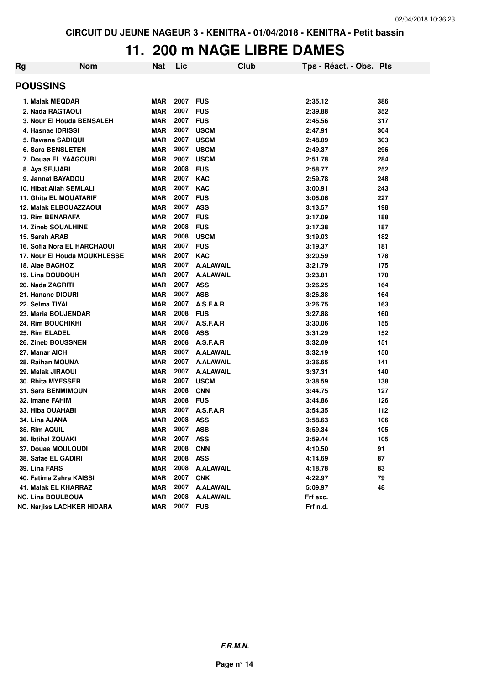## **11. 200 m NAGE LIBRE DAMES**

| Rg | <b>Nom</b>                        | Nat        | Lic  | Club             | Tps - Réact. - Obs. Pts |     |  |  |  |  |
|----|-----------------------------------|------------|------|------------------|-------------------------|-----|--|--|--|--|
|    | <b>POUSSINS</b>                   |            |      |                  |                         |     |  |  |  |  |
|    | 1. Malak MEQDAR                   | <b>MAR</b> | 2007 | <b>FUS</b>       | 2:35.12                 | 386 |  |  |  |  |
|    | 2. Nada RAGTAOUI                  | <b>MAR</b> | 2007 | <b>FUS</b>       | 2:39.88                 | 352 |  |  |  |  |
|    | 3. Nour El Houda BENSALEH         | <b>MAR</b> | 2007 | <b>FUS</b>       | 2:45.56                 | 317 |  |  |  |  |
|    | 4. Hasnae IDRISSI                 | <b>MAR</b> | 2007 | <b>USCM</b>      | 2:47.91                 | 304 |  |  |  |  |
|    | 5. Rawane SADIQUI                 | <b>MAR</b> | 2007 | <b>USCM</b>      | 2:48.09                 | 303 |  |  |  |  |
|    | <b>6. Sara BENSLETEN</b>          | <b>MAR</b> | 2007 | <b>USCM</b>      | 2:49.37                 | 296 |  |  |  |  |
|    | 7. Douaa EL YAAGOUBI              | <b>MAR</b> | 2007 | <b>USCM</b>      | 2:51.78                 | 284 |  |  |  |  |
|    | 8. Aya SEJJARI                    | <b>MAR</b> | 2008 | <b>FUS</b>       | 2:58.77                 | 252 |  |  |  |  |
|    | 9. Jannat BAYADOU                 | <b>MAR</b> | 2007 | <b>KAC</b>       | 2:59.78                 | 248 |  |  |  |  |
|    | <b>10. Hibat Allah SEMLALI</b>    | <b>MAR</b> | 2007 | <b>KAC</b>       | 3:00.91                 | 243 |  |  |  |  |
|    | <b>11. Ghita EL MOUATARIF</b>     | <b>MAR</b> | 2007 | <b>FUS</b>       | 3:05.06                 | 227 |  |  |  |  |
|    | <b>12. Malak ELBOUAZZAOUI</b>     | <b>MAR</b> | 2007 | <b>ASS</b>       | 3:13.57                 | 198 |  |  |  |  |
|    | <b>13. Rim BENARAFA</b>           | <b>MAR</b> | 2007 | <b>FUS</b>       | 3:17.09                 | 188 |  |  |  |  |
|    | <b>14. Zineb SOUALHINE</b>        | <b>MAR</b> | 2008 | <b>FUS</b>       | 3:17.38                 | 187 |  |  |  |  |
|    | 15. Sarah ARAB                    | <b>MAR</b> | 2008 | <b>USCM</b>      | 3:19.03                 | 182 |  |  |  |  |
|    | 16. Sofia Nora EL HARCHAOUI       | <b>MAR</b> | 2007 | <b>FUS</b>       | 3:19.37                 | 181 |  |  |  |  |
|    | 17. Nour El Houda MOUKHLESSE      | <b>MAR</b> | 2007 | <b>KAC</b>       | 3:20.59                 | 178 |  |  |  |  |
|    | 18. Alae BAGHOZ                   | <b>MAR</b> | 2007 | <b>A.ALAWAIL</b> | 3:21.79                 | 175 |  |  |  |  |
|    | <b>19. Lina DOUDOUH</b>           | <b>MAR</b> | 2007 | <b>A.ALAWAIL</b> | 3:23.81                 | 170 |  |  |  |  |
|    | 20. Nada ZAGRITI                  | <b>MAR</b> | 2007 | <b>ASS</b>       | 3:26.25                 | 164 |  |  |  |  |
|    | 21. Hanane DIOURI                 | <b>MAR</b> | 2007 | <b>ASS</b>       | 3:26.38                 | 164 |  |  |  |  |
|    | 22. Selma TIYAL                   | <b>MAR</b> | 2007 | A.S.F.A.R        | 3:26.75                 | 163 |  |  |  |  |
|    | 23. Maria BOUJENDAR               | <b>MAR</b> | 2008 | <b>FUS</b>       | 3:27.88                 | 160 |  |  |  |  |
|    | <b>24. Rim BOUCHIKHI</b>          | <b>MAR</b> | 2007 | A.S.F.A.R        | 3:30.06                 | 155 |  |  |  |  |
|    | 25. Rim ELADEL                    | <b>MAR</b> | 2008 | <b>ASS</b>       | 3:31.29                 | 152 |  |  |  |  |
|    | 26. Zineb BOUSSNEN                | <b>MAR</b> | 2008 | A.S.F.A.R        | 3:32.09                 | 151 |  |  |  |  |
|    | 27. Manar AICH                    | <b>MAR</b> | 2007 | <b>A.ALAWAIL</b> | 3:32.19                 | 150 |  |  |  |  |
|    | 28. Raihan MOUNA                  | <b>MAR</b> | 2007 | <b>A.ALAWAIL</b> | 3:36.65                 | 141 |  |  |  |  |
|    | 29. Malak JIRAOUI                 | <b>MAR</b> | 2007 | <b>A.ALAWAIL</b> | 3:37.31                 | 140 |  |  |  |  |
|    | <b>30. Rhita MYESSER</b>          | <b>MAR</b> | 2007 | <b>USCM</b>      | 3:38.59                 | 138 |  |  |  |  |
|    | 31. Sara BENMIMOUN                | <b>MAR</b> | 2008 | <b>CNN</b>       | 3:44.75                 | 127 |  |  |  |  |
|    | 32. Imane FAHIM                   | <b>MAR</b> | 2008 | <b>FUS</b>       | 3:44.86                 | 126 |  |  |  |  |
|    | 33. Hiba OUAHABI                  | <b>MAR</b> | 2007 | A.S.F.A.R        | 3:54.35                 | 112 |  |  |  |  |
|    | <b>34. Lina AJANA</b>             | <b>MAR</b> | 2008 | <b>ASS</b>       | 3:58.63                 | 106 |  |  |  |  |
|    | 35. Rim AQUIL                     | <b>MAR</b> | 2007 | <b>ASS</b>       | 3:59.34                 | 105 |  |  |  |  |
|    | 36. Ibtihal ZOUAKI                | <b>MAR</b> | 2007 | <b>ASS</b>       | 3:59.44                 | 105 |  |  |  |  |
|    | 37. Douae MOULOUDI                | MAR        | 2008 | <b>CNN</b>       | 4:10.50                 | 91  |  |  |  |  |
|    | 38. Safae EL GADIRI               | <b>MAR</b> | 2008 | <b>ASS</b>       | 4:14.69                 | 87  |  |  |  |  |
|    | 39. Lina FARS                     | <b>MAR</b> | 2008 | <b>A.ALAWAIL</b> | 4:18.78                 | 83  |  |  |  |  |
|    | 40. Fatima Zahra KAISSI           | <b>MAR</b> | 2007 | <b>CNK</b>       | 4:22.97                 | 79  |  |  |  |  |
|    | 41. Malak EL KHARRAZ              | <b>MAR</b> | 2007 | <b>A.ALAWAIL</b> | 5:09.97                 | 48  |  |  |  |  |
|    | <b>NC. Lina BOULBOUA</b>          | <b>MAR</b> | 2008 | <b>A.ALAWAIL</b> | Frf exc.                |     |  |  |  |  |
|    | <b>NC. Narjiss LACHKER HIDARA</b> | <b>MAR</b> | 2007 | <b>FUS</b>       | Frf n.d.                |     |  |  |  |  |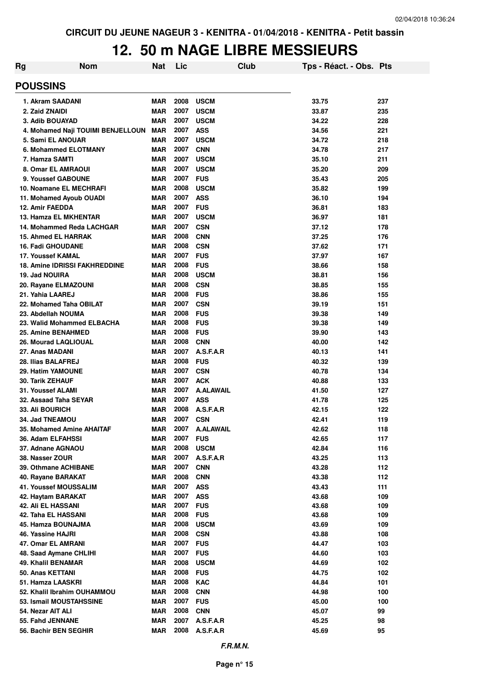## **12. 50 m NAGE LIBRE MESSIEURS**

| Rg                                               | <b>Nom</b>                        | <b>Nat</b>               | Lic          | Club                     | Tps - Réact. - Obs. Pts |            |  |  |
|--------------------------------------------------|-----------------------------------|--------------------------|--------------|--------------------------|-------------------------|------------|--|--|
| <b>POUSSINS</b>                                  |                                   |                          |              |                          |                         |            |  |  |
| 1. Akram SAADANI                                 |                                   | MAR                      | 2008         | <b>USCM</b>              | 33.75                   | 237        |  |  |
| 2. Zaid ZNAIDI                                   |                                   | <b>MAR</b>               | 2007         | <b>USCM</b>              | 33.87                   | 235        |  |  |
| 3. Adib BOUAYAD                                  |                                   | <b>MAR</b>               | 2007         | <b>USCM</b>              | 34.22                   | 228        |  |  |
|                                                  | 4. Mohamed Naji TOUIMI BENJELLOUN | <b>MAR</b>               | 2007         | <b>ASS</b>               | 34.56                   | 221        |  |  |
| 5. Sami EL ANOUAR                                |                                   | <b>MAR</b>               | 2007         | <b>USCM</b>              | 34.72                   | 218        |  |  |
| 6. Mohammed ELOTMANY                             |                                   | <b>MAR</b>               | 2007         | <b>CNN</b>               | 34.78                   | 217        |  |  |
| 7. Hamza SAMTI                                   |                                   | <b>MAR</b>               | 2007         | <b>USCM</b>              | 35.10                   | 211        |  |  |
| <b>8. Omar EL AMRAOUI</b>                        |                                   | <b>MAR</b>               | 2007         | <b>USCM</b>              | 35.20                   | 209        |  |  |
| 9. Youssef GABOUNE                               |                                   | <b>MAR</b>               | 2007         | <b>FUS</b>               | 35.43                   | 205        |  |  |
| 10. Noamane EL MECHRAFI                          |                                   | <b>MAR</b>               | 2008         | <b>USCM</b>              | 35.82                   | 199        |  |  |
| 11. Mohamed Ayoub OUADI                          |                                   | <b>MAR</b>               | 2007         | <b>ASS</b>               | 36.10                   | 194        |  |  |
| 12. Amir FAEDDA                                  |                                   | <b>MAR</b>               | 2007         | <b>FUS</b>               | 36.81                   | 183        |  |  |
| 13. Hamza EL MKHENTAR                            |                                   | <b>MAR</b>               | 2007         | <b>USCM</b>              | 36.97                   | 181        |  |  |
| 14. Mohammed Reda LACHGAR                        |                                   | <b>MAR</b>               | 2007         | <b>CSN</b>               | 37.12                   | 178        |  |  |
| <b>15. Ahmed EL HARRAK</b>                       |                                   | <b>MAR</b>               | 2008         | <b>CNN</b>               | 37.25                   | 176        |  |  |
| <b>16. Fadi GHOUDANE</b>                         |                                   | <b>MAR</b>               | 2008         | <b>CSN</b>               | 37.62                   | 171        |  |  |
| 17. Youssef KAMAL                                |                                   | <b>MAR</b>               | 2007         | <b>FUS</b>               | 37.97                   | 167        |  |  |
| <b>18. Amine IDRISSI FAKHREDDINE</b>             |                                   | <b>MAR</b>               | 2008         | <b>FUS</b>               | 38.66                   | 158        |  |  |
| 19. Jad NOUIRA                                   |                                   | <b>MAR</b>               | 2008         | <b>USCM</b>              | 38.81                   | 156        |  |  |
| 20. Rayane ELMAZOUNI                             |                                   | <b>MAR</b>               | 2008         | <b>CSN</b>               | 38.85                   | 155        |  |  |
| 21. Yahia LAAREJ                                 |                                   | <b>MAR</b>               | 2008         | <b>FUS</b>               | 38.86                   | 155        |  |  |
| 22. Mohamed Taha OBILAT                          |                                   | <b>MAR</b>               | 2007         | <b>CSN</b>               | 39.19                   | 151        |  |  |
| 23. Abdellah NOUMA<br>23. Walid Mohammed ELBACHA |                                   | <b>MAR</b>               | 2008<br>2008 | <b>FUS</b>               | 39.38                   | 149        |  |  |
| 25. Amine BENAHMED                               |                                   | <b>MAR</b><br><b>MAR</b> | 2008         | <b>FUS</b><br><b>FUS</b> | 39.38                   | 149        |  |  |
| 26. Mourad LAQLIOUAL                             |                                   | <b>MAR</b>               | 2008         | <b>CNN</b>               | 39.90<br>40.00          | 143<br>142 |  |  |
| 27. Anas MADANI                                  |                                   | <b>MAR</b>               | 2007         | A.S.F.A.R                | 40.13                   | 141        |  |  |
| 28. Ilias BALAFREJ                               |                                   | <b>MAR</b>               | 2008         | <b>FUS</b>               | 40.32                   | 139        |  |  |
| 29. Hatim YAMOUNE                                |                                   | <b>MAR</b>               | 2007         | <b>CSN</b>               | 40.78                   | 134        |  |  |
| <b>30. Tarik ZEHAUF</b>                          |                                   | <b>MAR</b>               | 2007         | <b>ACK</b>               | 40.88                   | 133        |  |  |
| <b>31. Youssef ALAMI</b>                         |                                   | <b>MAR</b>               | 2007         | <b>A.ALAWAIL</b>         | 41.50                   | 127        |  |  |
| 32. Assaad Taha SEYAR                            |                                   | <b>MAR</b>               | 2007         | <b>ASS</b>               | 41.78                   | 125        |  |  |
| 33. Ali BOURICH                                  |                                   | MAR                      | 2008         | A.S.F.A.R                | 42.15                   | 122        |  |  |
| 34. Jad TNEAMOU                                  |                                   | <b>MAR</b>               | 2007         | <b>CSN</b>               | 42.41                   | 119        |  |  |
| 35. Mohamed Amine AHAITAF                        |                                   | MAR                      | 2007         | <b>A.ALAWAIL</b>         | 42.62                   | 118        |  |  |
| 36. Adam ELFAHSSI                                |                                   | MAR                      | 2007         | <b>FUS</b>               | 42.65                   | 117        |  |  |
| 37. Adnane AGNAOU                                |                                   | <b>MAR</b>               | 2008         | <b>USCM</b>              | 42.84                   | 116        |  |  |
| 38. Nasser ZOUR                                  |                                   | <b>MAR</b>               | 2007         | A.S.F.A.R                | 43.25                   | 113        |  |  |
| 39. Othmane ACHIBANE                             |                                   | <b>MAR</b>               | 2007         | <b>CNN</b>               | 43.28                   | 112        |  |  |
| 40. Rayane BARAKAT                               |                                   | <b>MAR</b>               | 2008         | <b>CNN</b>               | 43.38                   | 112        |  |  |
| <b>41. Youssef MOUSSALIM</b>                     |                                   | <b>MAR</b>               | 2007         | <b>ASS</b>               | 43.43                   | 111        |  |  |
| 42. Haytam BARAKAT                               |                                   | <b>MAR</b>               | 2007         | <b>ASS</b>               | 43.68                   | 109        |  |  |
| <b>42. Ali EL HASSANI</b>                        |                                   | <b>MAR</b>               | 2007         | <b>FUS</b>               | 43.68                   | 109        |  |  |
| 42. Taha EL HASSANI                              |                                   | <b>MAR</b>               | 2008         | <b>FUS</b>               | 43.68                   | 109        |  |  |
| 45. Hamza BOUNAJMA                               |                                   | <b>MAR</b>               | 2008         | <b>USCM</b>              | 43.69                   | 109        |  |  |
| 46. Yassine HAJRI                                |                                   | <b>MAR</b>               | 2008         | <b>CSN</b>               | 43.88                   | 108        |  |  |
| 47. Omar EL AMRANI                               |                                   | <b>MAR</b>               | 2007         | <b>FUS</b>               | 44.47                   | 103        |  |  |
| 48. Saad Aymane CHLIHI                           |                                   | <b>MAR</b>               | 2007         | <b>FUS</b>               | 44.60                   | 103        |  |  |
| 49. Khalil BENAMAR                               |                                   | <b>MAR</b>               | 2008         | <b>USCM</b>              | 44.69                   | 102        |  |  |
| 50. Anas KETTANI                                 |                                   | <b>MAR</b>               | 2008         | <b>FUS</b>               | 44.75                   | 102        |  |  |
| 51. Hamza LAASKRI                                |                                   | <b>MAR</b>               | 2008         | <b>KAC</b>               | 44.84                   | 101        |  |  |
| 52. Khalil Ibrahim OUHAMMOU                      |                                   | <b>MAR</b>               | 2008         | <b>CNN</b>               | 44.98                   | 100        |  |  |
| 53. Ismail MOUSTAHSSINE                          |                                   | <b>MAR</b>               | 2007         | <b>FUS</b>               | 45.00                   | 100        |  |  |
| 54. Nezar AIT ALI                                |                                   | <b>MAR</b>               | 2008         | <b>CNN</b>               | 45.07                   | 99         |  |  |
| 55. Fahd JENNANE                                 |                                   | <b>MAR</b>               | 2007         | A.S.F.A.R                | 45.25                   | 98         |  |  |
| 56. Bachir BEN SEGHIR                            |                                   | <b>MAR</b>               | 2008         | A.S.F.A.R                | 45.69                   | 95         |  |  |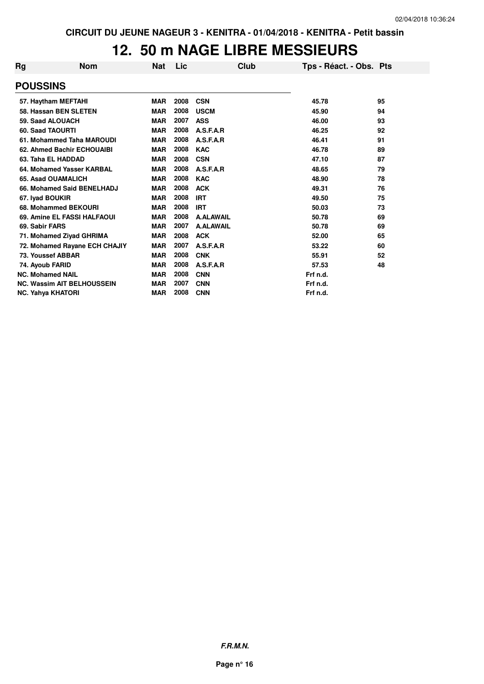# **12. 50 m NAGE LIBRE MESSIEURS**

| Rg | <b>Nom</b>                        | <b>Nat</b> | <b>Lic</b> | Club             | Tps - Réact. - Obs. Pts |    |
|----|-----------------------------------|------------|------------|------------------|-------------------------|----|
|    | <b>POUSSINS</b>                   |            |            |                  |                         |    |
|    | 57. Haytham MEFTAHI               | <b>MAR</b> | 2008       | <b>CSN</b>       | 45.78                   | 95 |
|    | 58. Hassan BEN SLETEN             | <b>MAR</b> | 2008       | <b>USCM</b>      | 45.90                   | 94 |
|    | 59. Saad ALOUACH                  | <b>MAR</b> | 2007       | <b>ASS</b>       | 46.00                   | 93 |
|    | 60. Saad TAOURTI                  | <b>MAR</b> | 2008       | A.S.F.A.R        | 46.25                   | 92 |
|    | 61. Mohammed Taha MAROUDI         | <b>MAR</b> | 2008       | A.S.F.A.R        | 46.41                   | 91 |
|    | 62. Ahmed Bachir ECHOUAIBI        | <b>MAR</b> | 2008       | <b>KAC</b>       | 46.78                   | 89 |
|    | 63. Taha EL HADDAD                | <b>MAR</b> | 2008       | <b>CSN</b>       | 47.10                   | 87 |
|    | 64. Mohamed Yasser KARBAL         | <b>MAR</b> | 2008       | A.S.F.A.R        | 48.65                   | 79 |
|    | 65. Asad OUAMALICH                | <b>MAR</b> | 2008       | <b>KAC</b>       | 48.90                   | 78 |
|    | 66. Mohamed Said BENELHADJ        | <b>MAR</b> | 2008       | <b>ACK</b>       | 49.31                   | 76 |
|    | 67. Iyad BOUKIR                   | <b>MAR</b> | 2008       | <b>IRT</b>       | 49.50                   | 75 |
|    | 68. Mohammed BEKOURI              | <b>MAR</b> | 2008       | <b>IRT</b>       | 50.03                   | 73 |
|    | 69. Amine EL FASSI HALFAOUI       | <b>MAR</b> | 2008       | <b>A.ALAWAIL</b> | 50.78                   | 69 |
|    | 69. Sabir FARS                    | <b>MAR</b> | 2007       | <b>A.ALAWAIL</b> | 50.78                   | 69 |
|    | 71. Mohamed Ziyad GHRIMA          | <b>MAR</b> | 2008       | <b>ACK</b>       | 52.00                   | 65 |
|    | 72. Mohamed Rayane ECH CHAJIY     | <b>MAR</b> | 2007       | A.S.F.A.R        | 53.22                   | 60 |
|    | <b>73. Youssef ABBAR</b>          | <b>MAR</b> | 2008       | <b>CNK</b>       | 55.91                   | 52 |
|    | 74. Ayoub FARID                   | <b>MAR</b> | 2008       | A.S.F.A.R        | 57.53                   | 48 |
|    | <b>NC. Mohamed NAIL</b>           | <b>MAR</b> | 2008       | <b>CNN</b>       | Frf n.d.                |    |
|    | <b>NC. Wassim AIT BELHOUSSEIN</b> | <b>MAR</b> | 2007       | <b>CNN</b>       | Frf n.d.                |    |
|    | <b>NC. Yahya KHATORI</b>          | <b>MAR</b> | 2008       | <b>CNN</b>       | Frf n.d.                |    |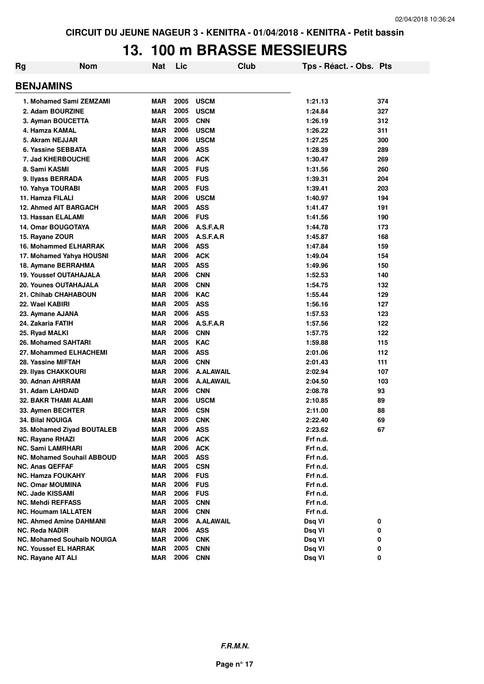## **13. 100 m BRASSE MESSIEURS**

| Rg | <b>Nom</b>                                                 | Nat                      | Lic          |                          | Club | Tps - Réact. - Obs. Pts |        |  |  |  |
|----|------------------------------------------------------------|--------------------------|--------------|--------------------------|------|-------------------------|--------|--|--|--|
|    | <b>BENJAMINS</b>                                           |                          |              |                          |      |                         |        |  |  |  |
|    | 1. Mohamed Sami ZEMZAMI                                    | <b>MAR</b>               | 2005         | <b>USCM</b>              |      | 1:21.13                 | 374    |  |  |  |
|    | 2. Adam BOURZINE                                           | <b>MAR</b>               | 2005         | <b>USCM</b>              |      | 1:24.84                 | 327    |  |  |  |
|    | 3. Ayman BOUCETTA                                          | <b>MAR</b>               | 2005         | <b>CNN</b>               |      | 1:26.19                 | 312    |  |  |  |
|    | 4. Hamza KAMAL                                             | <b>MAR</b>               | 2006         | <b>USCM</b>              |      | 1:26.22                 | 311    |  |  |  |
|    | 5. Akram NEJJAR                                            | <b>MAR</b>               | 2006         | <b>USCM</b>              |      | 1:27.25                 | 300    |  |  |  |
|    | 6. Yassine SEBBATA                                         | <b>MAR</b>               | 2006         | <b>ASS</b>               |      | 1:28.39                 | 289    |  |  |  |
|    | 7. Jad KHERBOUCHE                                          | <b>MAR</b>               | 2006         | <b>ACK</b>               |      | 1:30.47                 | 269    |  |  |  |
|    | 8. Sami KASMI                                              | <b>MAR</b>               | 2005         | <b>FUS</b>               |      | 1:31.56                 | 260    |  |  |  |
|    | 9. Ilyass BERRADA                                          | <b>MAR</b>               | 2005         | <b>FUS</b>               |      | 1:39.31                 | 204    |  |  |  |
|    | 10. Yahya TOURABI                                          | <b>MAR</b>               | 2005         | <b>FUS</b>               |      | 1:39.41                 | 203    |  |  |  |
|    | 11. Hamza FILALI                                           | <b>MAR</b>               | 2006         | <b>USCM</b>              |      | 1:40.97                 | 194    |  |  |  |
|    | <b>12. Ahmed AIT BARGACH</b>                               | <b>MAR</b>               | 2005         | <b>ASS</b>               |      | 1:41.47                 | 191    |  |  |  |
|    | 13. Hassan ELALAMI                                         | <b>MAR</b>               | 2006         | <b>FUS</b>               |      | 1:41.56                 | 190    |  |  |  |
|    | <b>14. Omar BOUGOTAYA</b>                                  | <b>MAR</b>               | 2006         | A.S.F.A.R                |      | 1:44.78                 | 173    |  |  |  |
|    | 15. Rayane ZOUR                                            | <b>MAR</b>               | 2005         | A.S.F.A.R                |      | 1:45.87                 | 168    |  |  |  |
|    | <b>16. Mohammed ELHARRAK</b>                               | <b>MAR</b>               | 2006         | <b>ASS</b>               |      | 1:47.84                 | 159    |  |  |  |
|    | 17. Mohamed Yahya HOUSNI                                   | MAR                      | 2006         | <b>ACK</b>               |      | 1:49.04                 | 154    |  |  |  |
|    | 18. Aymane BERRAHMA                                        | MAR                      | 2005         | <b>ASS</b>               |      | 1:49.96                 | 150    |  |  |  |
|    | <b>19. Youssef OUTAHAJALA</b>                              | <b>MAR</b>               | 2006         | <b>CNN</b>               |      | 1:52.53                 | 140    |  |  |  |
|    | <b>20. Younes OUTAHAJALA</b>                               | <b>MAR</b>               | 2006         | <b>CNN</b>               |      |                         |        |  |  |  |
|    |                                                            |                          |              |                          |      | 1:54.75                 | 132    |  |  |  |
|    | 21. Chihab CHAHABOUN                                       | <b>MAR</b>               | 2006         | <b>KAC</b>               |      | 1:55.44                 | 129    |  |  |  |
|    | 22. Wael KABIRI                                            | <b>MAR</b>               | 2005         | <b>ASS</b>               |      | 1:56.16                 | 127    |  |  |  |
|    | 23. Aymane AJANA                                           | <b>MAR</b>               | 2006         | <b>ASS</b>               |      | 1:57.53                 | 123    |  |  |  |
|    | 24. Zakaria FATIH                                          | <b>MAR</b>               | 2006         | A.S.F.A.R                |      | 1:57.56                 | 122    |  |  |  |
|    | 25. Ryad MALKI                                             | <b>MAR</b>               | 2006         | <b>CNN</b>               |      | 1:57.75                 | 122    |  |  |  |
|    | 26. Mohamed SAHTARI                                        | <b>MAR</b>               | 2005         | <b>KAC</b>               |      | 1:59.88                 | 115    |  |  |  |
|    | 27. Mohammed ELHACHEMI                                     | <b>MAR</b>               | 2006         | <b>ASS</b>               |      | 2:01.06                 | 112    |  |  |  |
|    | 28. Yassine MIFTAH                                         | <b>MAR</b>               | 2006         | <b>CNN</b>               |      | 2:01.43                 | 111    |  |  |  |
|    | 29. Ilyas CHAKKOURI                                        | <b>MAR</b>               | 2006         | <b>A.ALAWAIL</b>         |      | 2:02.94                 | 107    |  |  |  |
|    | 30. Adnan AHRRAM                                           | <b>MAR</b>               | 2006         | <b>A.ALAWAIL</b>         |      | 2:04.50                 | 103    |  |  |  |
|    | 31. Adam LAHDAID                                           | <b>MAR</b>               | 2006         | <b>CNN</b>               |      | 2:08.78                 | 93     |  |  |  |
|    | <b>32. BAKR THAMI ALAMI</b>                                | <b>MAR</b>               | 2006         | <b>USCM</b>              |      | 2:10.85                 | 89     |  |  |  |
|    | 33. Aymen BECHTER                                          | <b>MAR</b>               | 2006         | <b>CSN</b>               |      | 2:11.00                 | 88     |  |  |  |
|    | 34. Bilal NOUIGA                                           | <b>MAR</b>               | 2005         | <b>CNK</b>               |      | 2:22.40                 | 69     |  |  |  |
|    | 35. Mohamed Ziyad BOUTALEB                                 | <b>MAR</b>               | 2006         | <b>ASS</b>               |      | 2:23.62                 | 67     |  |  |  |
|    | NC. Rayane RHAZI                                           | <b>MAR</b>               | 2006         | <b>ACK</b>               |      | Frf n.d.                |        |  |  |  |
|    | <b>NC. Sami LAMRHARI</b>                                   | <b>MAR</b>               | 2006         | <b>ACK</b>               |      | Frf n.d.                |        |  |  |  |
|    | <b>NC. Mohamed Souhail ABBOUD</b>                          | <b>MAR</b>               | 2005         | <b>ASS</b>               |      | Frf n.d.                |        |  |  |  |
|    | <b>NC. Anas QEFFAF</b>                                     | <b>MAR</b>               | 2005         | <b>CSN</b>               |      | Frf n.d.                |        |  |  |  |
|    | <b>NC. Hamza FOUKAHY</b>                                   | <b>MAR</b>               | 2006         | <b>FUS</b>               |      | Frf n.d.                |        |  |  |  |
|    | <b>NC. Omar MOUMINA</b>                                    | <b>MAR</b>               | 2006         | <b>FUS</b>               |      | Frf n.d.                |        |  |  |  |
|    | <b>NC. Jade KISSAMI</b>                                    | <b>MAR</b>               | 2006         | <b>FUS</b>               |      | Frf n.d.                |        |  |  |  |
|    | <b>NC. Mehdi REFFASS</b>                                   | <b>MAR</b>               | 2005<br>2006 | <b>CNN</b>               |      | Frf n.d.                |        |  |  |  |
|    | <b>NC. Houmam IALLATEN</b>                                 | <b>MAR</b>               |              | <b>CNN</b>               |      | Frf n.d.                |        |  |  |  |
|    | <b>NC. Ahmed Amine DAHMANI</b>                             | <b>MAR</b>               | 2006<br>2006 | <b>A.ALAWAIL</b>         |      | Dsq VI                  | 0      |  |  |  |
|    | <b>NC. Reda NADIR</b><br><b>NC. Mohamed Souhaib NOUIGA</b> | <b>MAR</b><br><b>MAR</b> | 2006         | <b>ASS</b>               |      | Dsq VI                  | 0      |  |  |  |
|    | <b>NC. Youssef EL HARRAK</b>                               | <b>MAR</b>               | 2005         | <b>CNK</b><br><b>CNN</b> |      | Dsq VI<br>Dsq VI        | 0<br>0 |  |  |  |
|    | NC. Rayane AIT ALI                                         | <b>MAR</b>               | 2006         | <b>CNN</b>               |      | Dsq VI                  | 0      |  |  |  |
|    |                                                            |                          |              |                          |      |                         |        |  |  |  |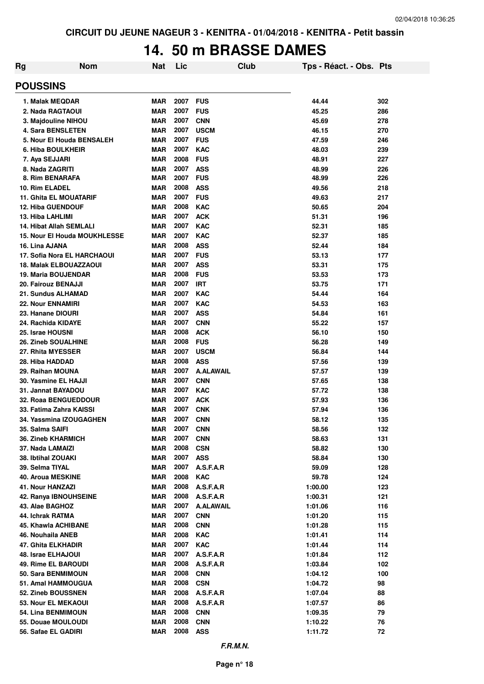### **14. 50 m BRASSE DAMES**

| Rg                                            | <b>Nom</b> | <b>Nat</b>               | Lic          |                          | <b>Club</b> | Tps - Réact. - Obs. Pts |            |  |
|-----------------------------------------------|------------|--------------------------|--------------|--------------------------|-------------|-------------------------|------------|--|
| <b>POUSSINS</b>                               |            |                          |              |                          |             |                         |            |  |
| 1. Malak MEQDAR                               |            | <b>MAR</b>               | 2007         | <b>FUS</b>               |             | 44.44                   | 302        |  |
| 2. Nada RAGTAOUI                              |            | <b>MAR</b>               | 2007         | <b>FUS</b>               |             | 45.25                   | 286        |  |
| 3. Majdouline NIHOU                           |            | <b>MAR</b>               | 2007         | <b>CNN</b>               |             | 45.69                   | 278        |  |
| 4. Sara BENSLETEN                             |            | <b>MAR</b>               | 2007         | <b>USCM</b>              |             | 46.15                   | 270        |  |
| 5. Nour El Houda BENSALEH                     |            | <b>MAR</b>               | 2007         | <b>FUS</b>               |             | 47.59                   | 246        |  |
| 6. Hiba BOULKHEIR                             |            | <b>MAR</b>               | 2007         | <b>KAC</b>               |             | 48.03                   | 239        |  |
| 7. Aya SEJJARI                                |            | <b>MAR</b>               | 2008         | <b>FUS</b>               |             | 48.91                   | 227        |  |
| 8. Nada ZAGRITI                               |            | <b>MAR</b>               | 2007         | <b>ASS</b>               |             | 48.99                   | 226        |  |
| 8. Rim BENARAFA                               |            | <b>MAR</b>               | 2007         | <b>FUS</b>               |             | 48.99                   | 226        |  |
| 10. Rim ELADEL                                |            | <b>MAR</b>               | 2008         | <b>ASS</b>               |             | 49.56                   | 218        |  |
| <b>11. Ghita EL MOUATARIF</b>                 |            | <b>MAR</b>               | 2007         | <b>FUS</b>               |             | 49.63                   | 217        |  |
| <b>12. Hiba GUENDOUF</b>                      |            | <b>MAR</b>               | 2008         | <b>KAC</b>               |             | 50.65                   | 204        |  |
| 13. Hiba LAHLIMI                              |            | <b>MAR</b>               | 2007         | <b>ACK</b>               |             | 51.31                   | 196        |  |
| <b>14. Hibat Allah SEMLALI</b>                |            | MAR                      | 2007<br>2007 | <b>KAC</b><br><b>KAC</b> |             | 52.31                   | 185        |  |
| <b>15. Nour El Houda MOUKHLESSE</b>           |            | MAR                      | 2008         | <b>ASS</b>               |             | 52.37                   | 185        |  |
| 16. Lina AJANA<br>17. Sofia Nora EL HARCHAOUI |            | <b>MAR</b><br>MAR        | 2007         | <b>FUS</b>               |             | 52.44<br>53.13          | 184<br>177 |  |
| <b>18. Malak ELBOUAZZAOUI</b>                 |            | MAR                      | 2007         | <b>ASS</b>               |             | 53.31                   | 175        |  |
| <b>19. Maria BOUJENDAR</b>                    |            | <b>MAR</b>               | 2008         | <b>FUS</b>               |             | 53.53                   | 173        |  |
| 20. Fairouz BENAJJI                           |            | <b>MAR</b>               | 2007         | IRT                      |             | 53.75                   | 171        |  |
| 21. Sundus ALHAMAD                            |            | <b>MAR</b>               | 2007         | <b>KAC</b>               |             | 54.44                   | 164        |  |
| <b>22. Nour ENNAMIRI</b>                      |            | <b>MAR</b>               | 2007         | <b>KAC</b>               |             | 54.53                   | 163        |  |
| 23. Hanane DIOURI                             |            | <b>MAR</b>               | 2007         | <b>ASS</b>               |             | 54.84                   | 161        |  |
| 24. Rachida KIDAYE                            |            | <b>MAR</b>               | 2007         | <b>CNN</b>               |             | 55.22                   | 157        |  |
| 25. Israe HOUSNI                              |            | <b>MAR</b>               | 2008         | <b>ACK</b>               |             | 56.10                   | 150        |  |
| <b>26. Zineb SOUALHINE</b>                    |            | <b>MAR</b>               | 2008         | <b>FUS</b>               |             | 56.28                   | 149        |  |
| 27. Rhita MYESSER                             |            | <b>MAR</b>               | 2007         | <b>USCM</b>              |             | 56.84                   | 144        |  |
| 28. Hiba HADDAD                               |            | <b>MAR</b>               | 2008         | <b>ASS</b>               |             | 57.56                   | 139        |  |
| 29. Raihan MOUNA                              |            | <b>MAR</b>               | 2007         | <b>A.ALAWAIL</b>         |             | 57.57                   | 139        |  |
| 30. Yasmine EL HAJJI                          |            | <b>MAR</b>               | 2007         | <b>CNN</b>               |             | 57.65                   | 138        |  |
| 31. Jannat BAYADOU                            |            | <b>MAR</b>               | 2007         | <b>KAC</b>               |             | 57.72                   | 138        |  |
| 32. Roaa BENGUEDDOUR                          |            | <b>MAR</b>               | 2007         | <b>ACK</b>               |             | 57.93                   | 136        |  |
| 33. Fatima Zahra KAISSI                       |            | <b>MAR</b>               | 2007         | <b>CNK</b>               |             | 57.94                   | 136        |  |
| 34. Yassmina IZOUGAGHEN                       |            | MAR                      | 2007         | <b>CNN</b>               |             | 58.12                   | 135        |  |
| 35. Salma SAIFI                               |            | <b>MAR</b>               | 2007         | <b>CNN</b>               |             | 58.56                   | 132        |  |
| <b>36. Zineb KHARMICH</b>                     |            | <b>MAR</b>               | 2007         | <b>CNN</b>               |             | 58.63                   | 131        |  |
| 37. Nada LAMAIZI                              |            | <b>MAR</b>               | 2008         | <b>CSN</b>               |             | 58.82                   | 130        |  |
| 38. Ibtihal ZOUAKI                            |            | <b>MAR</b>               | 2007         | <b>ASS</b>               |             | 58.84                   | 130        |  |
| 39. Selma TIYAL                               |            | <b>MAR</b>               | 2007         | A.S.F.A.R                |             | 59.09                   | 128        |  |
| <b>40. Aroua MESKINE</b>                      |            | <b>MAR</b>               | 2008         | <b>KAC</b>               |             | 59.78                   | 124        |  |
| 41. Nour HANZAZI                              |            | <b>MAR</b>               | 2008         | A.S.F.A.R                |             | 1:00.00                 | 123        |  |
| 42. Ranya IBNOUHSEINE                         |            | <b>MAR</b>               | 2008         | A.S.F.A.R                |             | 1:00.31                 | 121        |  |
| 43. Alae BAGHOZ                               |            | <b>MAR</b>               | 2007         | <b>A.ALAWAIL</b>         |             | 1:01.06                 | 116        |  |
| 44. Ichrak RATMA                              |            | <b>MAR</b>               | 2007         | <b>CNN</b>               |             | 1:01.20                 | 115        |  |
| <b>45. Khawla ACHIBANE</b>                    |            | <b>MAR</b>               | 2008         | <b>CNN</b>               |             | 1:01.28                 | 115        |  |
| 46. Nouhaila ANEB                             |            | <b>MAR</b>               | 2008         | <b>KAC</b>               |             | 1:01.41                 | 114        |  |
| 47. Ghita ELKHADIR                            |            | <b>MAR</b>               | 2007         | <b>KAC</b>               |             | 1:01.44                 | 114        |  |
| 48. Israe ELHAJOUI                            |            | <b>MAR</b>               | 2007         | A.S.F.A.R                |             | 1:01.84                 | 112        |  |
| 49. Rime EL BAROUDI                           |            | <b>MAR</b>               | 2008         | A.S.F.A.R                |             | 1:03.84                 | 102        |  |
| 50. Sara BENMIMOUN                            |            | <b>MAR</b>               | 2008<br>2008 | <b>CNN</b>               |             | 1:04.12                 | 100        |  |
| 51. Amal HAMMOUGUA<br>52. Zineb BOUSSNEN      |            | <b>MAR</b><br><b>MAR</b> | 2008         | <b>CSN</b>               |             | 1:04.72                 | 98<br>88   |  |
| 53. Nour EL MEKAOUI                           |            | <b>MAR</b>               | 2008         | A.S.F.A.R<br>A.S.F.A.R   |             | 1:07.04                 | 86         |  |
| 54. Lina BENMIMOUN                            |            | <b>MAR</b>               | 2008         | <b>CNN</b>               |             | 1:07.57                 | 79         |  |
| 55. Douae MOULOUDI                            |            | <b>MAR</b>               | 2008         | <b>CNN</b>               |             | 1:09.35<br>1:10.22      | 76         |  |
| 56. Safae EL GADIRI                           |            | <b>MAR</b>               | 2008         | <b>ASS</b>               |             | 1:11.72                 | 72         |  |
|                                               |            |                          |              |                          |             |                         |            |  |